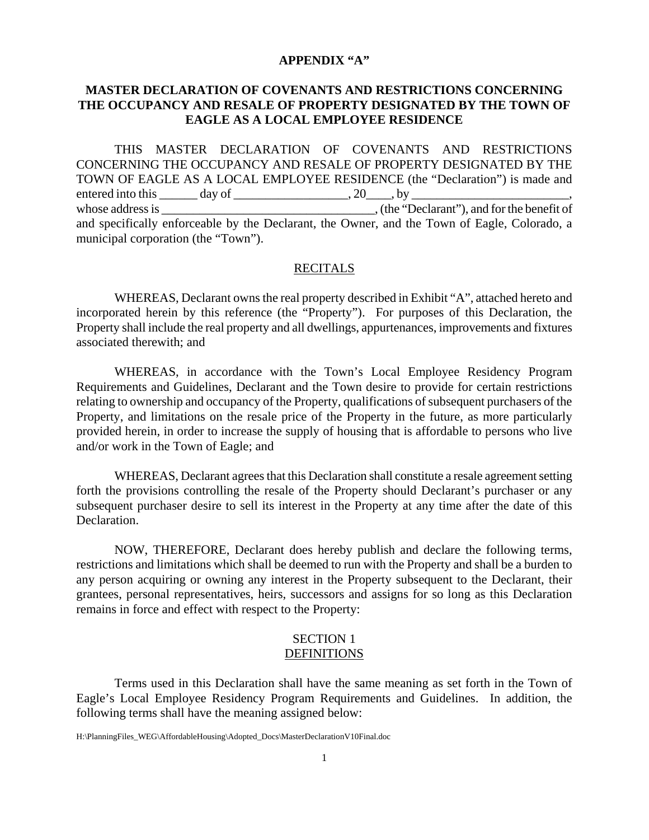#### **APPENDIX "A"**

## **MASTER DECLARATION OF COVENANTS AND RESTRICTIONS CONCERNING THE OCCUPANCY AND RESALE OF PROPERTY DESIGNATED BY THE TOWN OF EAGLE AS A LOCAL EMPLOYEE RESIDENCE**

THIS MASTER DECLARATION OF COVENANTS AND RESTRICTIONS CONCERNING THE OCCUPANCY AND RESALE OF PROPERTY DESIGNATED BY THE TOWN OF EAGLE AS A LOCAL EMPLOYEE RESIDENCE (the "Declaration") is made and entered into this  $\_\_\_\_$  day of  $\_\_\_\_\_\_$ ,  $20\_\_\_$ , by  $\_\_\_\_\_$ whose address is  $\cdot$ , (the "Declarant"), and for the benefit of and specifically enforceable by the Declarant, the Owner, and the Town of Eagle, Colorado, a municipal corporation (the "Town").

#### RECITALS

WHEREAS, Declarant owns the real property described in Exhibit "A", attached hereto and incorporated herein by this reference (the "Property"). For purposes of this Declaration, the Property shall include the real property and all dwellings, appurtenances, improvements and fixtures associated therewith; and

WHEREAS, in accordance with the Town's Local Employee Residency Program Requirements and Guidelines, Declarant and the Town desire to provide for certain restrictions relating to ownership and occupancy of the Property, qualifications of subsequent purchasers of the Property, and limitations on the resale price of the Property in the future, as more particularly provided herein, in order to increase the supply of housing that is affordable to persons who live and/or work in the Town of Eagle; and

WHEREAS, Declarant agrees that this Declaration shall constitute a resale agreement setting forth the provisions controlling the resale of the Property should Declarant's purchaser or any subsequent purchaser desire to sell its interest in the Property at any time after the date of this Declaration.

NOW, THEREFORE, Declarant does hereby publish and declare the following terms, restrictions and limitations which shall be deemed to run with the Property and shall be a burden to any person acquiring or owning any interest in the Property subsequent to the Declarant, their grantees, personal representatives, heirs, successors and assigns for so long as this Declaration remains in force and effect with respect to the Property:

#### SECTION 1 DEFINITIONS

Terms used in this Declaration shall have the same meaning as set forth in the Town of Eagle's Local Employee Residency Program Requirements and Guidelines. In addition, the following terms shall have the meaning assigned below: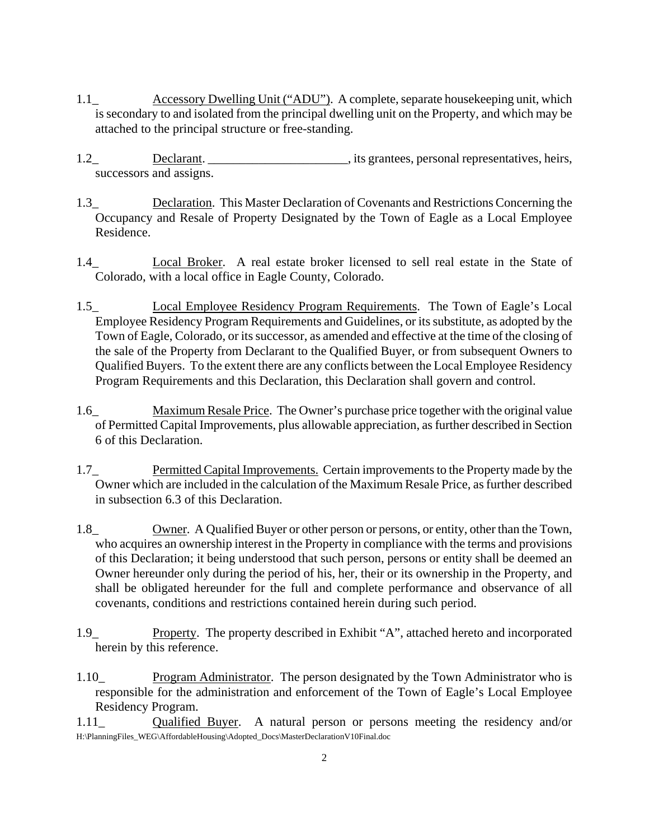- 1.1\_ Accessory Dwelling Unit ("ADU"). A complete, separate housekeeping unit, which is secondary to and isolated from the principal dwelling unit on the Property, and which may be attached to the principal structure or free-standing.
- 1.2 Declarant. Declarant. Exercise personal representatives, heirs, successors and assigns.
- 1.3\_ Declaration. This Master Declaration of Covenants and Restrictions Concerning the Occupancy and Resale of Property Designated by the Town of Eagle as a Local Employee Residence.
- 1.4\_ Local Broker. A real estate broker licensed to sell real estate in the State of Colorado, with a local office in Eagle County, Colorado.
- 1.5\_ Local Employee Residency Program Requirements. The Town of Eagle's Local Employee Residency Program Requirements and Guidelines, or its substitute, as adopted by the Town of Eagle, Colorado, or its successor, as amended and effective at the time of the closing of the sale of the Property from Declarant to the Qualified Buyer, or from subsequent Owners to Qualified Buyers. To the extent there are any conflicts between the Local Employee Residency Program Requirements and this Declaration, this Declaration shall govern and control.
- 1.6\_ Maximum Resale Price. The Owner's purchase price together with the original value of Permitted Capital Improvements, plus allowable appreciation, as further described in Section 6 of this Declaration.
- 1.7\_ Permitted Capital Improvements. Certain improvements to the Property made by the Owner which are included in the calculation of the Maximum Resale Price, as further described in subsection 6.3 of this Declaration.
- 1.8\_ Owner. A Qualified Buyer or other person or persons, or entity, other than the Town, who acquires an ownership interest in the Property in compliance with the terms and provisions of this Declaration; it being understood that such person, persons or entity shall be deemed an Owner hereunder only during the period of his, her, their or its ownership in the Property, and shall be obligated hereunder for the full and complete performance and observance of all covenants, conditions and restrictions contained herein during such period.
- 1.9\_ Property. The property described in Exhibit "A", attached hereto and incorporated herein by this reference.
- 1.10\_ Program Administrator. The person designated by the Town Administrator who is responsible for the administration and enforcement of the Town of Eagle's Local Employee Residency Program.
- H:\PlanningFiles\_WEG\AffordableHousing\Adopted\_Docs\MasterDeclarationV10Final.doc 1.11\_ Qualified Buyer. A natural person or persons meeting the residency and/or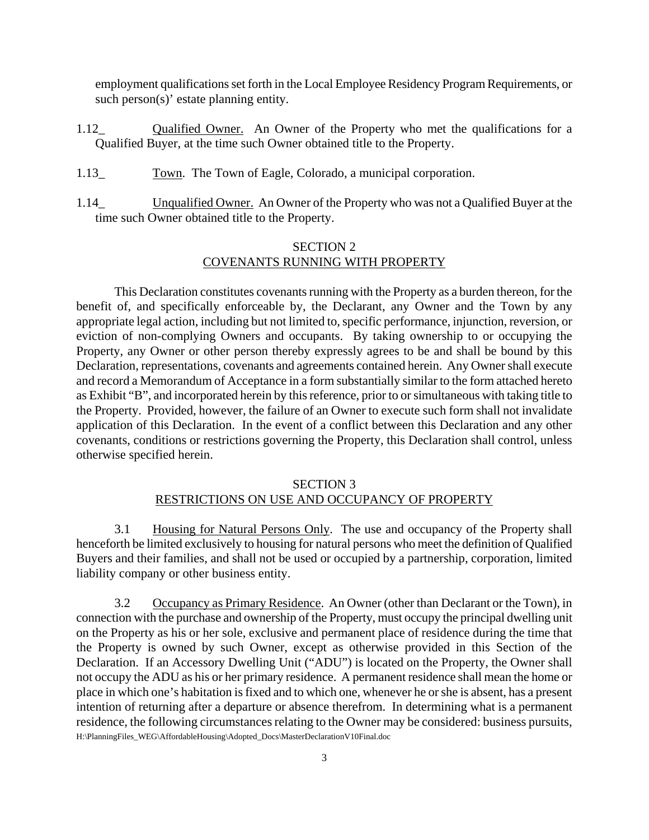employment qualifications set forth in the Local Employee Residency Program Requirements, or such person(s)' estate planning entity.

- 1.12\_ Qualified Owner. An Owner of the Property who met the qualifications for a Qualified Buyer, at the time such Owner obtained title to the Property.
- 1.13\_ Town. The Town of Eagle, Colorado, a municipal corporation.
- 1.14\_ Unqualified Owner. An Owner of the Property who was not a Qualified Buyer at the time such Owner obtained title to the Property.

# SECTION 2 COVENANTS RUNNING WITH PROPERTY

This Declaration constitutes covenants running with the Property as a burden thereon, for the benefit of, and specifically enforceable by, the Declarant, any Owner and the Town by any appropriate legal action, including but not limited to, specific performance, injunction, reversion, or eviction of non-complying Owners and occupants. By taking ownership to or occupying the Property, any Owner or other person thereby expressly agrees to be and shall be bound by this Declaration, representations, covenants and agreements contained herein. Any Owner shall execute and record a Memorandum of Acceptance in a form substantially similar to the form attached hereto as Exhibit "B", and incorporated herein by this reference, prior to or simultaneous with taking title to the Property. Provided, however, the failure of an Owner to execute such form shall not invalidate application of this Declaration. In the event of a conflict between this Declaration and any other covenants, conditions or restrictions governing the Property, this Declaration shall control, unless otherwise specified herein.

#### SECTION 3

#### RESTRICTIONS ON USE AND OCCUPANCY OF PROPERTY

3.1 Housing for Natural Persons Only. The use and occupancy of the Property shall henceforth be limited exclusively to housing for natural persons who meet the definition of Qualified Buyers and their families, and shall not be used or occupied by a partnership, corporation, limited liability company or other business entity.

H:\PlanningFiles\_WEG\AffordableHousing\Adopted\_Docs\MasterDeclarationV10Final.doc 3.2 Occupancy as Primary Residence. An Owner (other than Declarant or the Town), in connection with the purchase and ownership of the Property, must occupy the principal dwelling unit on the Property as his or her sole, exclusive and permanent place of residence during the time that the Property is owned by such Owner, except as otherwise provided in this Section of the Declaration. If an Accessory Dwelling Unit ("ADU") is located on the Property, the Owner shall not occupy the ADU as his or her primary residence. A permanent residence shall mean the home or place in which one's habitation is fixed and to which one, whenever he or she is absent, has a present intention of returning after a departure or absence therefrom. In determining what is a permanent residence, the following circumstances relating to the Owner may be considered: business pursuits,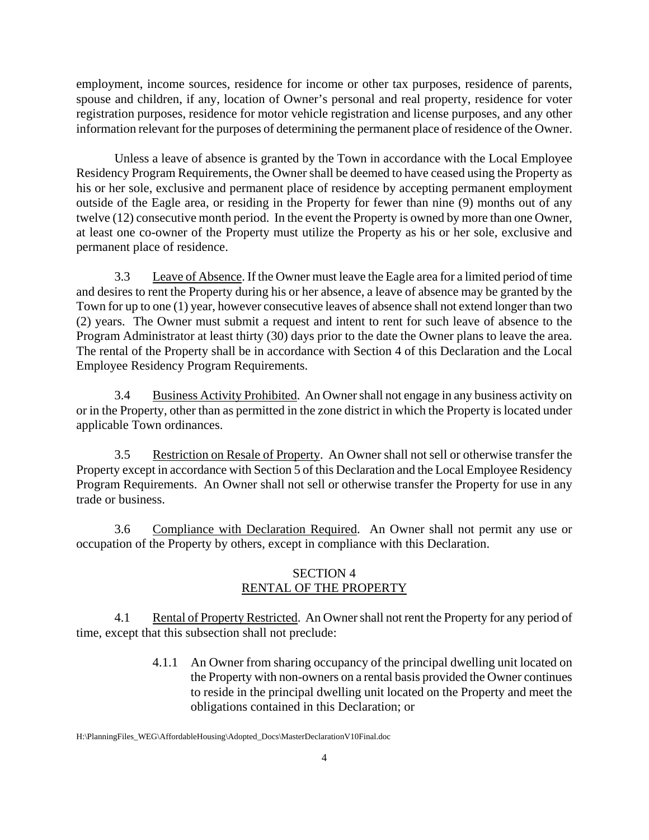employment, income sources, residence for income or other tax purposes, residence of parents, spouse and children, if any, location of Owner's personal and real property, residence for voter registration purposes, residence for motor vehicle registration and license purposes, and any other information relevant for the purposes of determining the permanent place of residence of the Owner.

Unless a leave of absence is granted by the Town in accordance with the Local Employee Residency Program Requirements, the Owner shall be deemed to have ceased using the Property as his or her sole, exclusive and permanent place of residence by accepting permanent employment outside of the Eagle area, or residing in the Property for fewer than nine (9) months out of any twelve (12) consecutive month period. In the event the Property is owned by more than one Owner, at least one co-owner of the Property must utilize the Property as his or her sole, exclusive and permanent place of residence.

3.3 Leave of Absence. If the Owner must leave the Eagle area for a limited period of time and desires to rent the Property during his or her absence, a leave of absence may be granted by the Town for up to one (1) year, however consecutive leaves of absence shall not extend longer than two (2) years. The Owner must submit a request and intent to rent for such leave of absence to the Program Administrator at least thirty (30) days prior to the date the Owner plans to leave the area. The rental of the Property shall be in accordance with Section 4 of this Declaration and the Local Employee Residency Program Requirements.

3.4 Business Activity Prohibited. An Owner shall not engage in any business activity on or in the Property, other than as permitted in the zone district in which the Property is located under applicable Town ordinances.

3.5 Restriction on Resale of Property. An Owner shall not sell or otherwise transfer the Property except in accordance with Section 5 of this Declaration and the Local Employee Residency Program Requirements. An Owner shall not sell or otherwise transfer the Property for use in any trade or business.

3.6 Compliance with Declaration Required. An Owner shall not permit any use or occupation of the Property by others, except in compliance with this Declaration.

# SECTION 4 RENTAL OF THE PROPERTY

4.1 Rental of Property Restricted. An Owner shall not rent the Property for any period of time, except that this subsection shall not preclude:

> 4.1.1 An Owner from sharing occupancy of the principal dwelling unit located on the Property with non-owners on a rental basis provided the Owner continues to reside in the principal dwelling unit located on the Property and meet the obligations contained in this Declaration; or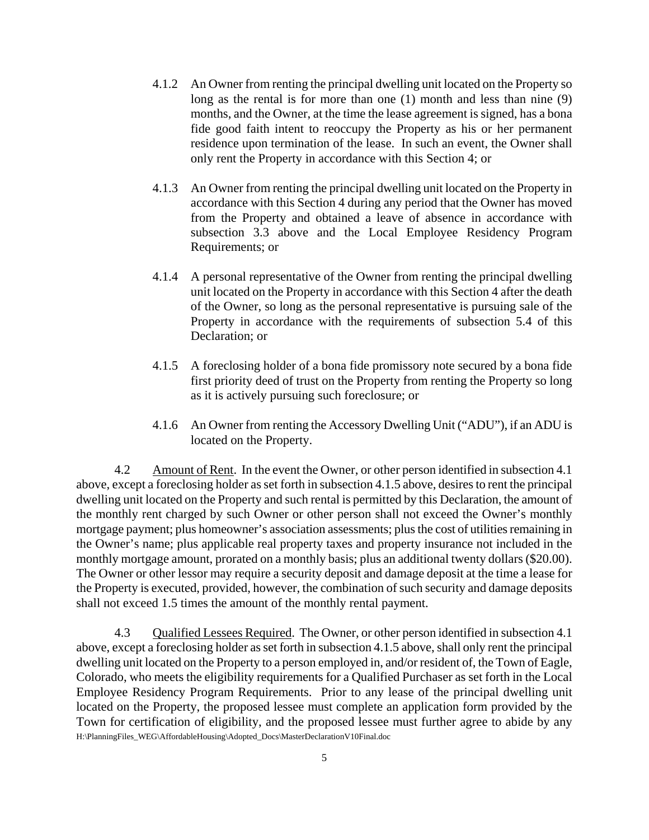- 4.1.2 An Owner from renting the principal dwelling unit located on the Property so long as the rental is for more than one (1) month and less than nine (9) months, and the Owner, at the time the lease agreement is signed, has a bona fide good faith intent to reoccupy the Property as his or her permanent residence upon termination of the lease. In such an event, the Owner shall only rent the Property in accordance with this Section 4; or
- 4.1.3 An Owner from renting the principal dwelling unit located on the Property in accordance with this Section 4 during any period that the Owner has moved from the Property and obtained a leave of absence in accordance with subsection 3.3 above and the Local Employee Residency Program Requirements; or
- 4.1.4 A personal representative of the Owner from renting the principal dwelling unit located on the Property in accordance with this Section 4 after the death of the Owner, so long as the personal representative is pursuing sale of the Property in accordance with the requirements of subsection 5.4 of this Declaration; or
- 4.1.5 A foreclosing holder of a bona fide promissory note secured by a bona fide first priority deed of trust on the Property from renting the Property so long as it is actively pursuing such foreclosure; or
- 4.1.6 An Owner from renting the Accessory Dwelling Unit ("ADU"), if an ADU is located on the Property.

4.2 Amount of Rent. In the event the Owner, or other person identified in subsection 4.1 above, except a foreclosing holder as set forth in subsection 4.1.5 above, desires to rent the principal dwelling unit located on the Property and such rental is permitted by this Declaration, the amount of the monthly rent charged by such Owner or other person shall not exceed the Owner's monthly mortgage payment; plus homeowner's association assessments; plus the cost of utilities remaining in the Owner's name; plus applicable real property taxes and property insurance not included in the monthly mortgage amount, prorated on a monthly basis; plus an additional twenty dollars (\$20.00). The Owner or other lessor may require a security deposit and damage deposit at the time a lease for the Property is executed, provided, however, the combination of such security and damage deposits shall not exceed 1.5 times the amount of the monthly rental payment.

H:\PlanningFiles\_WEG\AffordableHousing\Adopted\_Docs\MasterDeclarationV10Final.doc 4.3 Qualified Lessees Required. The Owner, or other person identified in subsection 4.1 above, except a foreclosing holder as set forth in subsection 4.1.5 above, shall only rent the principal dwelling unit located on the Property to a person employed in, and/or resident of, the Town of Eagle, Colorado, who meets the eligibility requirements for a Qualified Purchaser as set forth in the Local Employee Residency Program Requirements. Prior to any lease of the principal dwelling unit located on the Property, the proposed lessee must complete an application form provided by the Town for certification of eligibility, and the proposed lessee must further agree to abide by any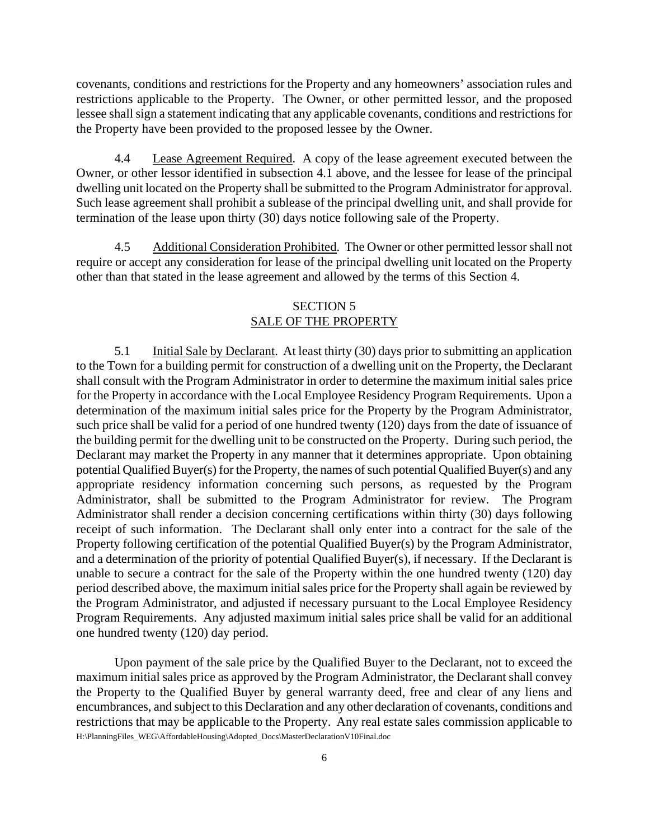covenants, conditions and restrictions for the Property and any homeowners' association rules and restrictions applicable to the Property. The Owner, or other permitted lessor, and the proposed lessee shall sign a statement indicating that any applicable covenants, conditions and restrictions for the Property have been provided to the proposed lessee by the Owner.

4.4 Lease Agreement Required. A copy of the lease agreement executed between the Owner, or other lessor identified in subsection 4.1 above, and the lessee for lease of the principal dwelling unit located on the Property shall be submitted to the Program Administrator for approval. Such lease agreement shall prohibit a sublease of the principal dwelling unit, and shall provide for termination of the lease upon thirty (30) days notice following sale of the Property.

4.5 Additional Consideration Prohibited. The Owner or other permitted lessor shall not require or accept any consideration for lease of the principal dwelling unit located on the Property other than that stated in the lease agreement and allowed by the terms of this Section 4.

#### SECTION 5 SALE OF THE PROPERTY

5.1 Initial Sale by Declarant. At least thirty (30) days prior to submitting an application to the Town for a building permit for construction of a dwelling unit on the Property, the Declarant shall consult with the Program Administrator in order to determine the maximum initial sales price for the Property in accordance with the Local Employee Residency Program Requirements. Upon a determination of the maximum initial sales price for the Property by the Program Administrator, such price shall be valid for a period of one hundred twenty (120) days from the date of issuance of the building permit for the dwelling unit to be constructed on the Property. During such period, the Declarant may market the Property in any manner that it determines appropriate. Upon obtaining potential Qualified Buyer(s) for the Property, the names of such potential Qualified Buyer(s) and any appropriate residency information concerning such persons, as requested by the Program Administrator, shall be submitted to the Program Administrator for review. The Program Administrator shall render a decision concerning certifications within thirty (30) days following receipt of such information. The Declarant shall only enter into a contract for the sale of the Property following certification of the potential Qualified Buyer(s) by the Program Administrator, and a determination of the priority of potential Qualified Buyer(s), if necessary. If the Declarant is unable to secure a contract for the sale of the Property within the one hundred twenty (120) day period described above, the maximum initial sales price for the Property shall again be reviewed by the Program Administrator, and adjusted if necessary pursuant to the Local Employee Residency Program Requirements. Any adjusted maximum initial sales price shall be valid for an additional one hundred twenty (120) day period.

H:\PlanningFiles\_WEG\AffordableHousing\Adopted\_Docs\MasterDeclarationV10Final.doc Upon payment of the sale price by the Qualified Buyer to the Declarant, not to exceed the maximum initial sales price as approved by the Program Administrator, the Declarant shall convey the Property to the Qualified Buyer by general warranty deed, free and clear of any liens and encumbrances, and subject to this Declaration and any other declaration of covenants, conditions and restrictions that may be applicable to the Property. Any real estate sales commission applicable to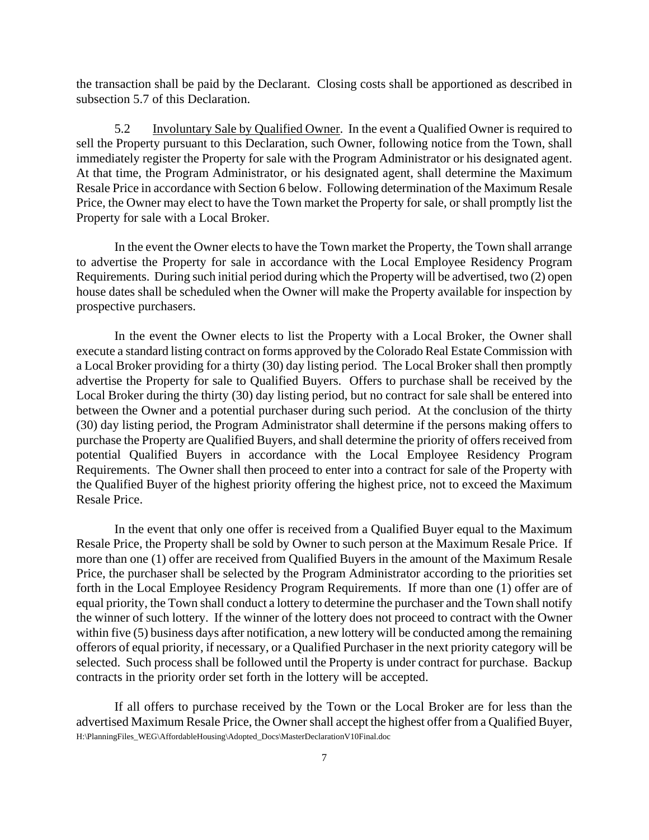the transaction shall be paid by the Declarant. Closing costs shall be apportioned as described in subsection 5.7 of this Declaration.

5.2 Involuntary Sale by Qualified Owner. In the event a Qualified Owner is required to sell the Property pursuant to this Declaration, such Owner, following notice from the Town, shall immediately register the Property for sale with the Program Administrator or his designated agent. At that time, the Program Administrator, or his designated agent, shall determine the Maximum Resale Price in accordance with Section 6 below. Following determination of the Maximum Resale Price, the Owner may elect to have the Town market the Property for sale, or shall promptly list the Property for sale with a Local Broker.

In the event the Owner elects to have the Town market the Property, the Town shall arrange to advertise the Property for sale in accordance with the Local Employee Residency Program Requirements. During such initial period during which the Property will be advertised, two (2) open house dates shall be scheduled when the Owner will make the Property available for inspection by prospective purchasers.

In the event the Owner elects to list the Property with a Local Broker, the Owner shall execute a standard listing contract on forms approved by the Colorado Real Estate Commission with a Local Broker providing for a thirty (30) day listing period. The Local Broker shall then promptly advertise the Property for sale to Qualified Buyers. Offers to purchase shall be received by the Local Broker during the thirty (30) day listing period, but no contract for sale shall be entered into between the Owner and a potential purchaser during such period. At the conclusion of the thirty (30) day listing period, the Program Administrator shall determine if the persons making offers to purchase the Property are Qualified Buyers, and shall determine the priority of offers received from potential Qualified Buyers in accordance with the Local Employee Residency Program Requirements. The Owner shall then proceed to enter into a contract for sale of the Property with the Qualified Buyer of the highest priority offering the highest price, not to exceed the Maximum Resale Price.

In the event that only one offer is received from a Qualified Buyer equal to the Maximum Resale Price, the Property shall be sold by Owner to such person at the Maximum Resale Price. If more than one (1) offer are received from Qualified Buyers in the amount of the Maximum Resale Price, the purchaser shall be selected by the Program Administrator according to the priorities set forth in the Local Employee Residency Program Requirements. If more than one (1) offer are of equal priority, the Town shall conduct a lottery to determine the purchaser and the Town shall notify the winner of such lottery. If the winner of the lottery does not proceed to contract with the Owner within five (5) business days after notification, a new lottery will be conducted among the remaining offerors of equal priority, if necessary, or a Qualified Purchaser in the next priority category will be selected. Such process shall be followed until the Property is under contract for purchase. Backup contracts in the priority order set forth in the lottery will be accepted.

H:\PlanningFiles\_WEG\AffordableHousing\Adopted\_Docs\MasterDeclarationV10Final.doc If all offers to purchase received by the Town or the Local Broker are for less than the advertised Maximum Resale Price, the Owner shall accept the highest offer from a Qualified Buyer,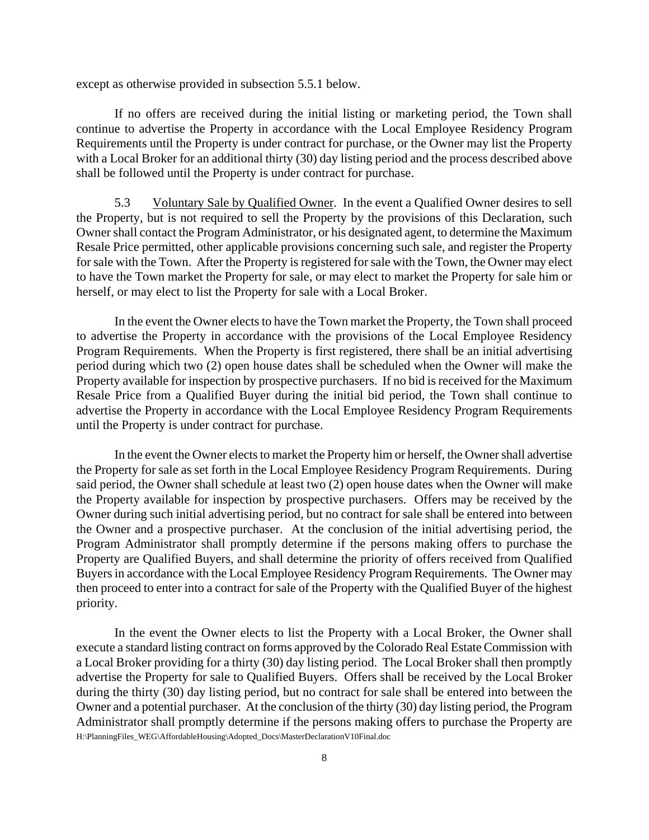except as otherwise provided in subsection 5.5.1 below.

If no offers are received during the initial listing or marketing period, the Town shall continue to advertise the Property in accordance with the Local Employee Residency Program Requirements until the Property is under contract for purchase, or the Owner may list the Property with a Local Broker for an additional thirty (30) day listing period and the process described above shall be followed until the Property is under contract for purchase.

5.3 Voluntary Sale by Qualified Owner. In the event a Qualified Owner desires to sell the Property, but is not required to sell the Property by the provisions of this Declaration, such Owner shall contact the Program Administrator, or his designated agent, to determine the Maximum Resale Price permitted, other applicable provisions concerning such sale, and register the Property for sale with the Town. After the Property is registered for sale with the Town, the Owner may elect to have the Town market the Property for sale, or may elect to market the Property for sale him or herself, or may elect to list the Property for sale with a Local Broker.

In the event the Owner elects to have the Town market the Property, the Town shall proceed to advertise the Property in accordance with the provisions of the Local Employee Residency Program Requirements. When the Property is first registered, there shall be an initial advertising period during which two (2) open house dates shall be scheduled when the Owner will make the Property available for inspection by prospective purchasers. If no bid is received for the Maximum Resale Price from a Qualified Buyer during the initial bid period, the Town shall continue to advertise the Property in accordance with the Local Employee Residency Program Requirements until the Property is under contract for purchase.

In the event the Owner elects to market the Property him or herself, the Owner shall advertise the Property for sale as set forth in the Local Employee Residency Program Requirements. During said period, the Owner shall schedule at least two (2) open house dates when the Owner will make the Property available for inspection by prospective purchasers. Offers may be received by the Owner during such initial advertising period, but no contract for sale shall be entered into between the Owner and a prospective purchaser. At the conclusion of the initial advertising period, the Program Administrator shall promptly determine if the persons making offers to purchase the Property are Qualified Buyers, and shall determine the priority of offers received from Qualified Buyers in accordance with the Local Employee Residency Program Requirements. The Owner may then proceed to enter into a contract for sale of the Property with the Qualified Buyer of the highest priority.

H:\PlanningFiles\_WEG\AffordableHousing\Adopted\_Docs\MasterDeclarationV10Final.doc In the event the Owner elects to list the Property with a Local Broker, the Owner shall execute a standard listing contract on forms approved by the Colorado Real Estate Commission with a Local Broker providing for a thirty (30) day listing period. The Local Broker shall then promptly advertise the Property for sale to Qualified Buyers. Offers shall be received by the Local Broker during the thirty (30) day listing period, but no contract for sale shall be entered into between the Owner and a potential purchaser. At the conclusion of the thirty (30) day listing period, the Program Administrator shall promptly determine if the persons making offers to purchase the Property are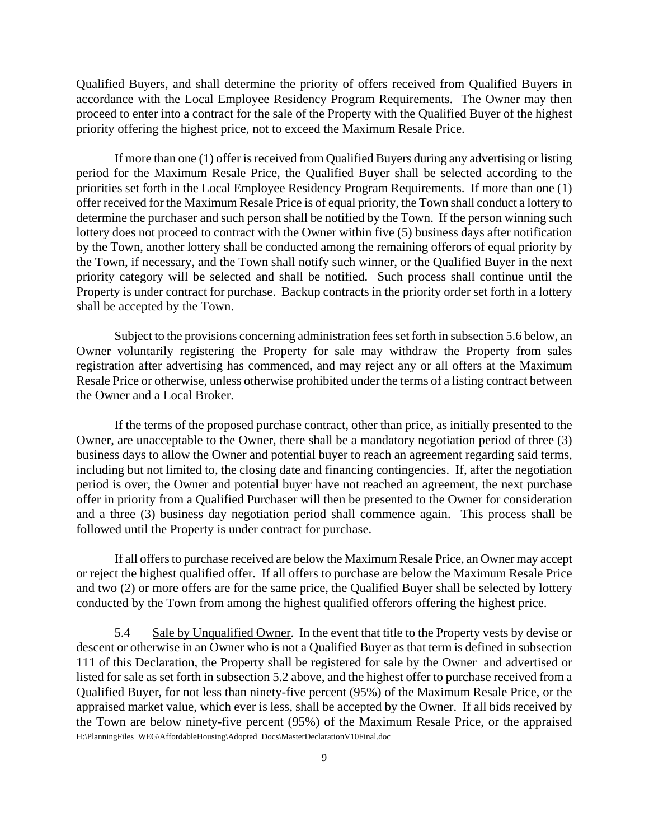Qualified Buyers, and shall determine the priority of offers received from Qualified Buyers in accordance with the Local Employee Residency Program Requirements. The Owner may then proceed to enter into a contract for the sale of the Property with the Qualified Buyer of the highest priority offering the highest price, not to exceed the Maximum Resale Price.

If more than one (1) offer is received from Qualified Buyers during any advertising or listing period for the Maximum Resale Price, the Qualified Buyer shall be selected according to the priorities set forth in the Local Employee Residency Program Requirements. If more than one (1) offer received for the Maximum Resale Price is of equal priority, the Town shall conduct a lottery to determine the purchaser and such person shall be notified by the Town. If the person winning such lottery does not proceed to contract with the Owner within five (5) business days after notification by the Town, another lottery shall be conducted among the remaining offerors of equal priority by the Town, if necessary, and the Town shall notify such winner, or the Qualified Buyer in the next priority category will be selected and shall be notified. Such process shall continue until the Property is under contract for purchase. Backup contracts in the priority order set forth in a lottery shall be accepted by the Town.

Subject to the provisions concerning administration fees set forth in subsection 5.6 below, an Owner voluntarily registering the Property for sale may withdraw the Property from sales registration after advertising has commenced, and may reject any or all offers at the Maximum Resale Price or otherwise, unless otherwise prohibited under the terms of a listing contract between the Owner and a Local Broker.

If the terms of the proposed purchase contract, other than price, as initially presented to the Owner, are unacceptable to the Owner, there shall be a mandatory negotiation period of three (3) business days to allow the Owner and potential buyer to reach an agreement regarding said terms, including but not limited to, the closing date and financing contingencies. If, after the negotiation period is over, the Owner and potential buyer have not reached an agreement, the next purchase offer in priority from a Qualified Purchaser will then be presented to the Owner for consideration and a three (3) business day negotiation period shall commence again. This process shall be followed until the Property is under contract for purchase.

If all offers to purchase received are below the Maximum Resale Price, an Owner may accept or reject the highest qualified offer. If all offers to purchase are below the Maximum Resale Price and two (2) or more offers are for the same price, the Qualified Buyer shall be selected by lottery conducted by the Town from among the highest qualified offerors offering the highest price.

H:\PlanningFiles\_WEG\AffordableHousing\Adopted\_Docs\MasterDeclarationV10Final.doc 5.4 Sale by Unqualified Owner. In the event that title to the Property vests by devise or descent or otherwise in an Owner who is not a Qualified Buyer as that term is defined in subsection 111 of this Declaration, the Property shall be registered for sale by the Owner and advertised or listed for sale as set forth in subsection 5.2 above, and the highest offer to purchase received from a Qualified Buyer, for not less than ninety-five percent (95%) of the Maximum Resale Price, or the appraised market value, which ever is less, shall be accepted by the Owner. If all bids received by the Town are below ninety-five percent (95%) of the Maximum Resale Price, or the appraised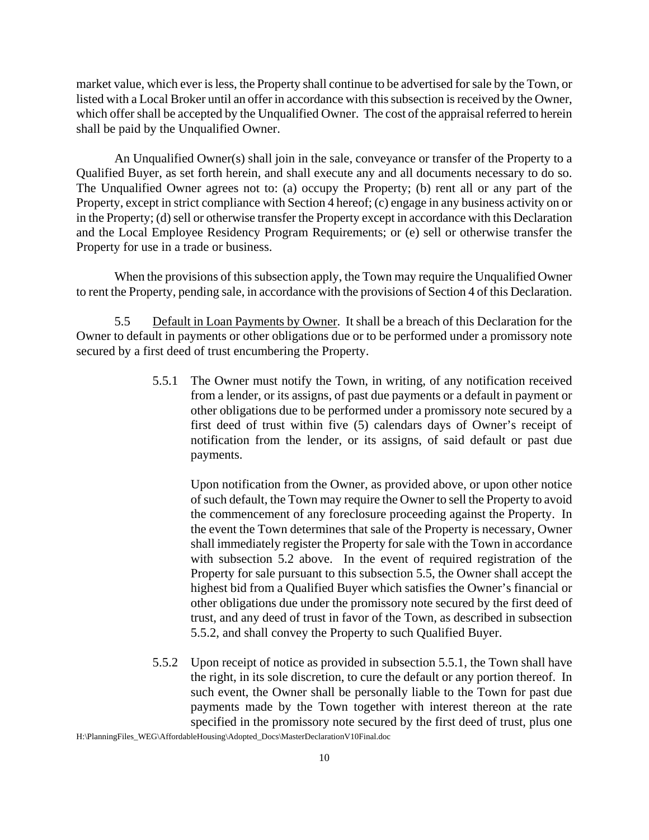market value, which ever is less, the Property shall continue to be advertised for sale by the Town, or listed with a Local Broker until an offer in accordance with this subsection is received by the Owner, which offer shall be accepted by the Unqualified Owner. The cost of the appraisal referred to herein shall be paid by the Unqualified Owner.

An Unqualified Owner(s) shall join in the sale, conveyance or transfer of the Property to a Qualified Buyer, as set forth herein, and shall execute any and all documents necessary to do so. The Unqualified Owner agrees not to: (a) occupy the Property; (b) rent all or any part of the Property, except in strict compliance with Section 4 hereof; (c) engage in any business activity on or in the Property; (d) sell or otherwise transfer the Property except in accordance with this Declaration and the Local Employee Residency Program Requirements; or (e) sell or otherwise transfer the Property for use in a trade or business.

When the provisions of this subsection apply, the Town may require the Unqualified Owner to rent the Property, pending sale, in accordance with the provisions of Section 4 of this Declaration.

5.5 Default in Loan Payments by Owner. It shall be a breach of this Declaration for the Owner to default in payments or other obligations due or to be performed under a promissory note secured by a first deed of trust encumbering the Property.

> 5.5.1 The Owner must notify the Town, in writing, of any notification received from a lender, or its assigns, of past due payments or a default in payment or other obligations due to be performed under a promissory note secured by a first deed of trust within five (5) calendars days of Owner's receipt of notification from the lender, or its assigns, of said default or past due payments.

Upon notification from the Owner, as provided above, or upon other notice of such default, the Town may require the Owner to sell the Property to avoid the commencement of any foreclosure proceeding against the Property. In the event the Town determines that sale of the Property is necessary, Owner shall immediately register the Property for sale with the Town in accordance with subsection 5.2 above. In the event of required registration of the Property for sale pursuant to this subsection 5.5, the Owner shall accept the highest bid from a Qualified Buyer which satisfies the Owner's financial or other obligations due under the promissory note secured by the first deed of trust, and any deed of trust in favor of the Town, as described in subsection 5.5.2, and shall convey the Property to such Qualified Buyer.

5.5.2 Upon receipt of notice as provided in subsection 5.5.1, the Town shall have the right, in its sole discretion, to cure the default or any portion thereof. In such event, the Owner shall be personally liable to the Town for past due payments made by the Town together with interest thereon at the rate specified in the promissory note secured by the first deed of trust, plus one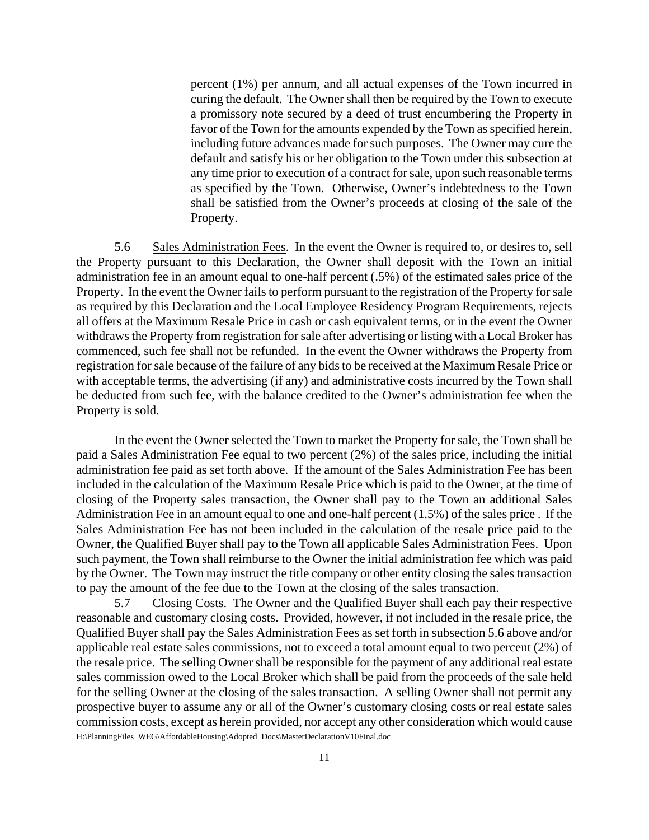percent (1%) per annum, and all actual expenses of the Town incurred in curing the default. The Owner shall then be required by the Town to execute a promissory note secured by a deed of trust encumbering the Property in favor of the Town for the amounts expended by the Town as specified herein, including future advances made for such purposes. The Owner may cure the default and satisfy his or her obligation to the Town under this subsection at any time prior to execution of a contract for sale, upon such reasonable terms as specified by the Town. Otherwise, Owner's indebtedness to the Town shall be satisfied from the Owner's proceeds at closing of the sale of the Property.

5.6 Sales Administration Fees. In the event the Owner is required to, or desires to, sell the Property pursuant to this Declaration, the Owner shall deposit with the Town an initial administration fee in an amount equal to one-half percent (.5%) of the estimated sales price of the Property. In the event the Owner fails to perform pursuant to the registration of the Property for sale as required by this Declaration and the Local Employee Residency Program Requirements, rejects all offers at the Maximum Resale Price in cash or cash equivalent terms, or in the event the Owner withdraws the Property from registration for sale after advertising or listing with a Local Broker has commenced, such fee shall not be refunded. In the event the Owner withdraws the Property from registration for sale because of the failure of any bids to be received at the Maximum Resale Price or with acceptable terms, the advertising (if any) and administrative costs incurred by the Town shall be deducted from such fee, with the balance credited to the Owner's administration fee when the Property is sold.

In the event the Owner selected the Town to market the Property for sale, the Town shall be paid a Sales Administration Fee equal to two percent (2%) of the sales price, including the initial administration fee paid as set forth above. If the amount of the Sales Administration Fee has been included in the calculation of the Maximum Resale Price which is paid to the Owner, at the time of closing of the Property sales transaction, the Owner shall pay to the Town an additional Sales Administration Fee in an amount equal to one and one-half percent (1.5%) of the sales price . If the Sales Administration Fee has not been included in the calculation of the resale price paid to the Owner, the Qualified Buyer shall pay to the Town all applicable Sales Administration Fees. Upon such payment, the Town shall reimburse to the Owner the initial administration fee which was paid by the Owner. The Town may instruct the title company or other entity closing the sales transaction to pay the amount of the fee due to the Town at the closing of the sales transaction.

H:\PlanningFiles\_WEG\AffordableHousing\Adopted\_Docs\MasterDeclarationV10Final.doc 5.7 Closing Costs. The Owner and the Qualified Buyer shall each pay their respective reasonable and customary closing costs. Provided, however, if not included in the resale price, the Qualified Buyer shall pay the Sales Administration Fees as set forth in subsection 5.6 above and/or applicable real estate sales commissions, not to exceed a total amount equal to two percent (2%) of the resale price. The selling Owner shall be responsible for the payment of any additional real estate sales commission owed to the Local Broker which shall be paid from the proceeds of the sale held for the selling Owner at the closing of the sales transaction. A selling Owner shall not permit any prospective buyer to assume any or all of the Owner's customary closing costs or real estate sales commission costs, except as herein provided, nor accept any other consideration which would cause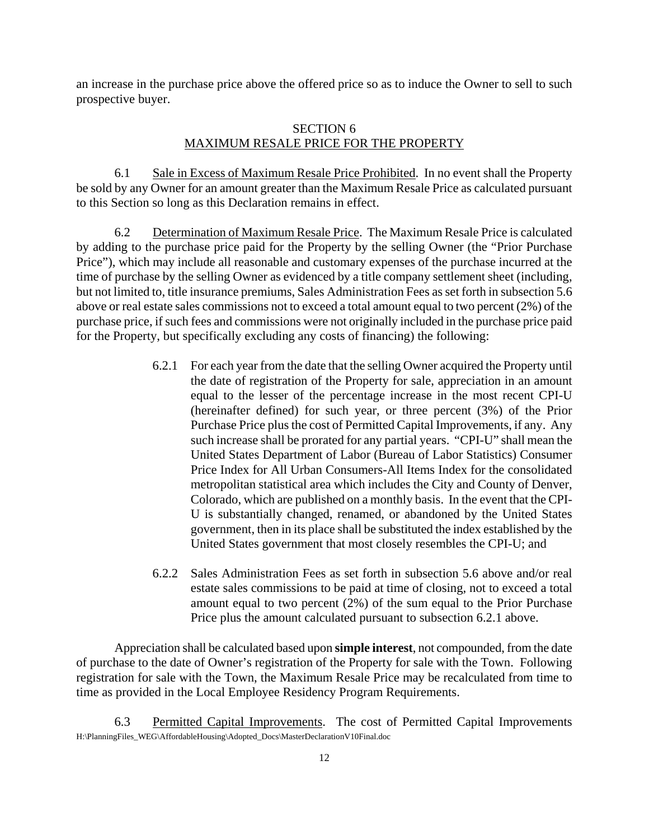an increase in the purchase price above the offered price so as to induce the Owner to sell to such prospective buyer.

#### SECTION 6 MAXIMUM RESALE PRICE FOR THE PROPERTY

6.1 Sale in Excess of Maximum Resale Price Prohibited. In no event shall the Property be sold by any Owner for an amount greater than the Maximum Resale Price as calculated pursuant to this Section so long as this Declaration remains in effect.

6.2 Determination of Maximum Resale Price. The Maximum Resale Price is calculated by adding to the purchase price paid for the Property by the selling Owner (the "Prior Purchase Price"), which may include all reasonable and customary expenses of the purchase incurred at the time of purchase by the selling Owner as evidenced by a title company settlement sheet (including, but not limited to, title insurance premiums, Sales Administration Fees as set forth in subsection 5.6 above or real estate sales commissions not to exceed a total amount equal to two percent (2%) of the purchase price, if such fees and commissions were not originally included in the purchase price paid for the Property, but specifically excluding any costs of financing) the following:

- 6.2.1 For each year from the date that the selling Owner acquired the Property until the date of registration of the Property for sale, appreciation in an amount equal to the lesser of the percentage increase in the most recent CPI-U (hereinafter defined) for such year, or three percent (3%) of the Prior Purchase Price plus the cost of Permitted Capital Improvements, if any. Any such increase shall be prorated for any partial years. "CPI-U" shall mean the United States Department of Labor (Bureau of Labor Statistics) Consumer Price Index for All Urban Consumers-All Items Index for the consolidated metropolitan statistical area which includes the City and County of Denver, Colorado, which are published on a monthly basis. In the event that the CPI-U is substantially changed, renamed, or abandoned by the United States government, then in its place shall be substituted the index established by the United States government that most closely resembles the CPI-U; and
- 6.2.2 Sales Administration Fees as set forth in subsection 5.6 above and/or real estate sales commissions to be paid at time of closing, not to exceed a total amount equal to two percent (2%) of the sum equal to the Prior Purchase Price plus the amount calculated pursuant to subsection 6.2.1 above.

Appreciation shall be calculated based upon **simple interest**, not compounded, from the date of purchase to the date of Owner's registration of the Property for sale with the Town. Following registration for sale with the Town, the Maximum Resale Price may be recalculated from time to time as provided in the Local Employee Residency Program Requirements.

H:\PlanningFiles\_WEG\AffordableHousing\Adopted\_Docs\MasterDeclarationV10Final.doc 6.3 Permitted Capital Improvements. The cost of Permitted Capital Improvements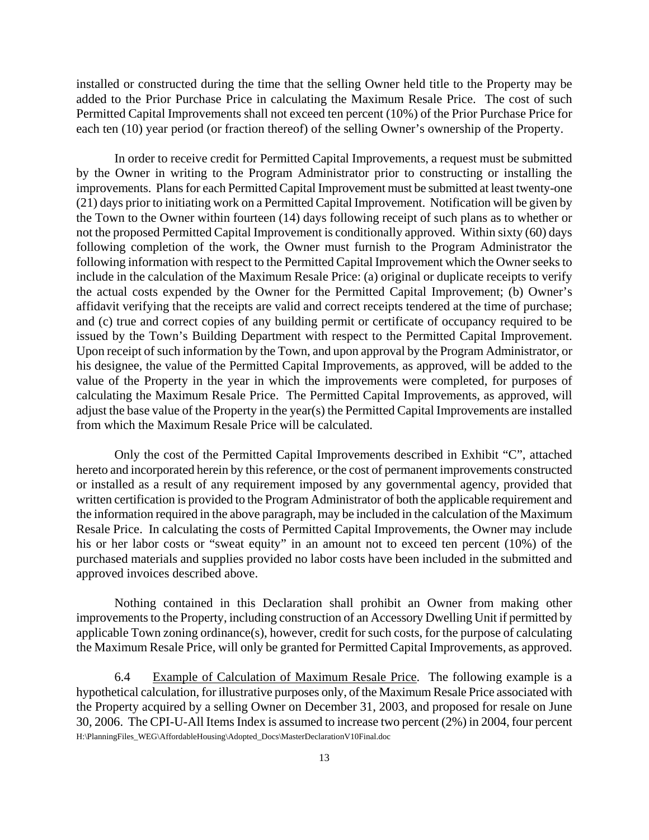installed or constructed during the time that the selling Owner held title to the Property may be added to the Prior Purchase Price in calculating the Maximum Resale Price. The cost of such Permitted Capital Improvements shall not exceed ten percent (10%) of the Prior Purchase Price for each ten (10) year period (or fraction thereof) of the selling Owner's ownership of the Property.

In order to receive credit for Permitted Capital Improvements, a request must be submitted by the Owner in writing to the Program Administrator prior to constructing or installing the improvements. Plans for each Permitted Capital Improvement must be submitted at least twenty-one (21) days prior to initiating work on a Permitted Capital Improvement. Notification will be given by the Town to the Owner within fourteen (14) days following receipt of such plans as to whether or not the proposed Permitted Capital Improvement is conditionally approved. Within sixty (60) days following completion of the work, the Owner must furnish to the Program Administrator the following information with respect to the Permitted Capital Improvement which the Owner seeks to include in the calculation of the Maximum Resale Price: (a) original or duplicate receipts to verify the actual costs expended by the Owner for the Permitted Capital Improvement; (b) Owner's affidavit verifying that the receipts are valid and correct receipts tendered at the time of purchase; and (c) true and correct copies of any building permit or certificate of occupancy required to be issued by the Town's Building Department with respect to the Permitted Capital Improvement. Upon receipt of such information by the Town, and upon approval by the Program Administrator, or his designee, the value of the Permitted Capital Improvements, as approved, will be added to the value of the Property in the year in which the improvements were completed, for purposes of calculating the Maximum Resale Price. The Permitted Capital Improvements, as approved, will adjust the base value of the Property in the year(s) the Permitted Capital Improvements are installed from which the Maximum Resale Price will be calculated.

Only the cost of the Permitted Capital Improvements described in Exhibit "C", attached hereto and incorporated herein by this reference, or the cost of permanent improvements constructed or installed as a result of any requirement imposed by any governmental agency, provided that written certification is provided to the Program Administrator of both the applicable requirement and the information required in the above paragraph, may be included in the calculation of the Maximum Resale Price. In calculating the costs of Permitted Capital Improvements, the Owner may include his or her labor costs or "sweat equity" in an amount not to exceed ten percent (10%) of the purchased materials and supplies provided no labor costs have been included in the submitted and approved invoices described above.

Nothing contained in this Declaration shall prohibit an Owner from making other improvements to the Property, including construction of an Accessory Dwelling Unit if permitted by applicable Town zoning ordinance(s), however, credit for such costs, for the purpose of calculating the Maximum Resale Price, will only be granted for Permitted Capital Improvements, as approved.

H:\PlanningFiles\_WEG\AffordableHousing\Adopted\_Docs\MasterDeclarationV10Final.doc 6.4 Example of Calculation of Maximum Resale Price. The following example is a hypothetical calculation, for illustrative purposes only, of the Maximum Resale Price associated with the Property acquired by a selling Owner on December 31, 2003, and proposed for resale on June 30, 2006. The CPI-U-All Items Index is assumed to increase two percent (2%) in 2004, four percent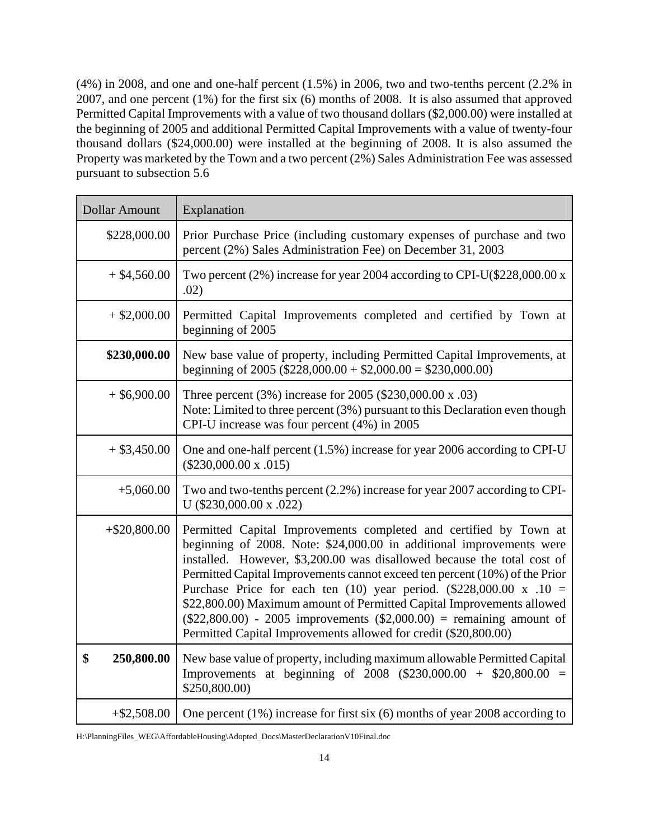(4%) in 2008, and one and one-half percent (1.5%) in 2006, two and two-tenths percent (2.2% in 2007, and one percent (1%) for the first six (6) months of 2008. It is also assumed that approved Permitted Capital Improvements with a value of two thousand dollars (\$2,000.00) were installed at the beginning of 2005 and additional Permitted Capital Improvements with a value of twenty-four thousand dollars (\$24,000.00) were installed at the beginning of 2008. It is also assumed the Property was marketed by the Town and a two percent (2%) Sales Administration Fee was assessed pursuant to subsection 5.6

| <b>Dollar Amount</b> |                 | Explanation                                                                                                                                                                                                                                                                                                                                                                                                                                                                                                                                                                                               |
|----------------------|-----------------|-----------------------------------------------------------------------------------------------------------------------------------------------------------------------------------------------------------------------------------------------------------------------------------------------------------------------------------------------------------------------------------------------------------------------------------------------------------------------------------------------------------------------------------------------------------------------------------------------------------|
|                      | \$228,000.00    | Prior Purchase Price (including customary expenses of purchase and two<br>percent (2%) Sales Administration Fee) on December 31, 2003                                                                                                                                                                                                                                                                                                                                                                                                                                                                     |
|                      | $+$ \$4,560.00  | Two percent (2%) increase for year 2004 according to CPI-U(\$228,000.00 x<br>.02)                                                                                                                                                                                                                                                                                                                                                                                                                                                                                                                         |
|                      | $+$ \$2,000.00  | Permitted Capital Improvements completed and certified by Town at<br>beginning of 2005                                                                                                                                                                                                                                                                                                                                                                                                                                                                                                                    |
|                      | \$230,000.00    | New base value of property, including Permitted Capital Improvements, at<br>beginning of 2005 (\$228,000.00 + \$2,000.00 = \$230,000.00)                                                                                                                                                                                                                                                                                                                                                                                                                                                                  |
|                      | $+$ \$6,900.00  | Three percent (3%) increase for 2005 (\$230,000.00 x .03)<br>Note: Limited to three percent (3%) pursuant to this Declaration even though<br>CPI-U increase was four percent (4%) in 2005                                                                                                                                                                                                                                                                                                                                                                                                                 |
|                      | $+$ \$3,450.00  | One and one-half percent (1.5%) increase for year 2006 according to CPI-U<br>$(\$230,000.00 \times .015)$                                                                                                                                                                                                                                                                                                                                                                                                                                                                                                 |
|                      | $+5,060.00$     | Two and two-tenths percent (2.2%) increase for year 2007 according to CPI-<br>U (\$230,000.00 x .022)                                                                                                                                                                                                                                                                                                                                                                                                                                                                                                     |
|                      | $+$ \$20,800.00 | Permitted Capital Improvements completed and certified by Town at<br>beginning of 2008. Note: \$24,000.00 in additional improvements were<br>installed. However, \$3,200.00 was disallowed because the total cost of<br>Permitted Capital Improvements cannot exceed ten percent (10%) of the Prior<br>Purchase Price for each ten (10) year period. $(\$228,000.00 \times .10 =$<br>\$22,800.00) Maximum amount of Permitted Capital Improvements allowed<br>$(\$22,800.00) - 2005$ improvements $(\$2,000.00) =$ remaining amount of<br>Permitted Capital Improvements allowed for credit (\$20,800.00) |
| \$                   | 250,800.00      | New base value of property, including maximum allowable Permitted Capital<br>Improvements at beginning of $2008$ (\$230,000.00 + \$20,800.00 =<br>\$250,800.00)                                                                                                                                                                                                                                                                                                                                                                                                                                           |
|                      | $+ $2,508.00$   | One percent $(1\%)$ increase for first six $(6)$ months of year 2008 according to                                                                                                                                                                                                                                                                                                                                                                                                                                                                                                                         |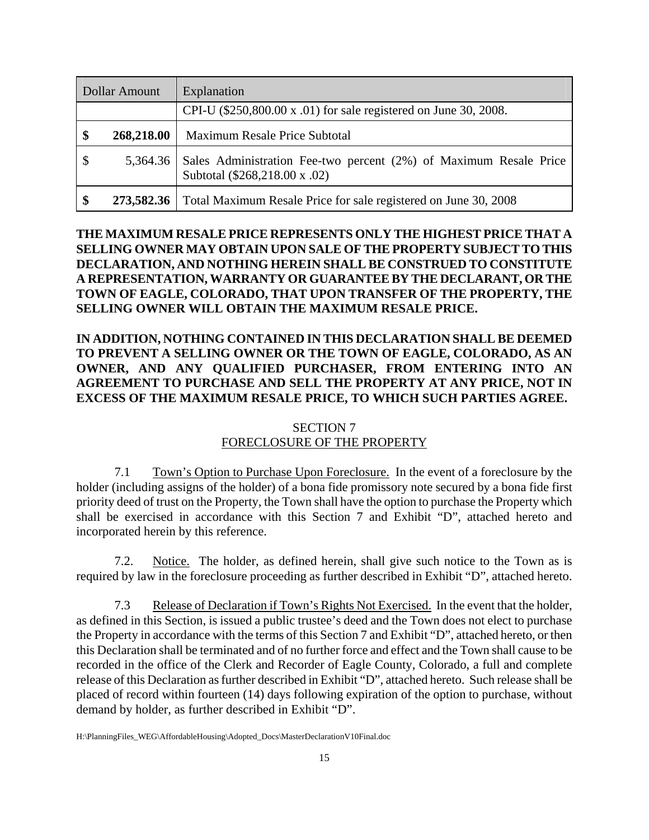| <b>Dollar Amount</b> |            | Explanation                                                                                        |
|----------------------|------------|----------------------------------------------------------------------------------------------------|
|                      |            | CPI-U (\$250,800.00 x .01) for sale registered on June 30, 2008.                                   |
|                      | 268,218.00 | Maximum Resale Price Subtotal                                                                      |
| $\mathcal{S}$        | 5,364.36   | Sales Administration Fee-two percent (2%) of Maximum Resale Price<br>Subtotal (\$268,218.00 x .02) |
|                      | 273,582.36 | Total Maximum Resale Price for sale registered on June 30, 2008                                    |

# **THE MAXIMUM RESALE PRICE REPRESENTS ONLY THE HIGHEST PRICE THAT A SELLING OWNER MAY OBTAIN UPON SALE OF THE PROPERTY SUBJECT TO THIS DECLARATION, AND NOTHING HEREIN SHALL BE CONSTRUED TO CONSTITUTE A REPRESENTATION, WARRANTY OR GUARANTEE BY THE DECLARANT, OR THE TOWN OF EAGLE, COLORADO, THAT UPON TRANSFER OF THE PROPERTY, THE SELLING OWNER WILL OBTAIN THE MAXIMUM RESALE PRICE.**

# **IN ADDITION, NOTHING CONTAINED IN THIS DECLARATION SHALL BE DEEMED TO PREVENT A SELLING OWNER OR THE TOWN OF EAGLE, COLORADO, AS AN OWNER, AND ANY QUALIFIED PURCHASER, FROM ENTERING INTO AN AGREEMENT TO PURCHASE AND SELL THE PROPERTY AT ANY PRICE, NOT IN EXCESS OF THE MAXIMUM RESALE PRICE, TO WHICH SUCH PARTIES AGREE.**

# SECTION 7

# FORECLOSURE OF THE PROPERTY

7.1 Town's Option to Purchase Upon Foreclosure. In the event of a foreclosure by the holder (including assigns of the holder) of a bona fide promissory note secured by a bona fide first priority deed of trust on the Property, the Town shall have the option to purchase the Property which shall be exercised in accordance with this Section 7 and Exhibit "D", attached hereto and incorporated herein by this reference.

7.2. Notice. The holder, as defined herein, shall give such notice to the Town as is required by law in the foreclosure proceeding as further described in Exhibit "D", attached hereto.

7.3 Release of Declaration if Town's Rights Not Exercised. In the event that the holder, as defined in this Section, is issued a public trustee's deed and the Town does not elect to purchase the Property in accordance with the terms of this Section 7 and Exhibit "D", attached hereto, or then this Declaration shall be terminated and of no further force and effect and the Town shall cause to be recorded in the office of the Clerk and Recorder of Eagle County, Colorado, a full and complete release of this Declaration as further described in Exhibit "D", attached hereto. Such release shall be placed of record within fourteen (14) days following expiration of the option to purchase, without demand by holder, as further described in Exhibit "D".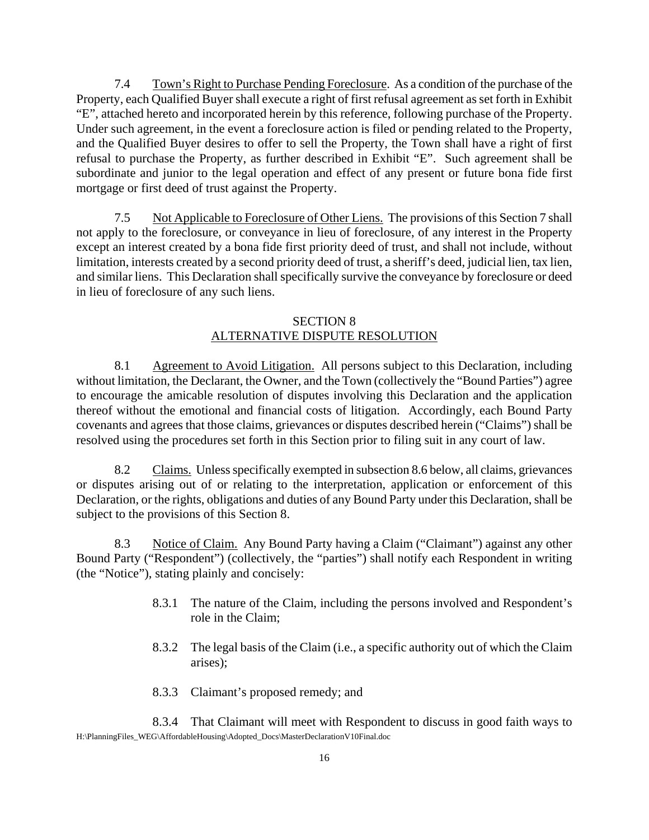7.4 Town's Right to Purchase Pending Foreclosure. As a condition of the purchase of the Property, each Qualified Buyer shall execute a right of first refusal agreement as set forth in Exhibit "E", attached hereto and incorporated herein by this reference, following purchase of the Property. Under such agreement, in the event a foreclosure action is filed or pending related to the Property, and the Qualified Buyer desires to offer to sell the Property, the Town shall have a right of first refusal to purchase the Property, as further described in Exhibit "E". Such agreement shall be subordinate and junior to the legal operation and effect of any present or future bona fide first mortgage or first deed of trust against the Property.

7.5 Not Applicable to Foreclosure of Other Liens. The provisions of this Section 7 shall not apply to the foreclosure, or conveyance in lieu of foreclosure, of any interest in the Property except an interest created by a bona fide first priority deed of trust, and shall not include, without limitation, interests created by a second priority deed of trust, a sheriff's deed, judicial lien, tax lien, and similar liens. This Declaration shall specifically survive the conveyance by foreclosure or deed in lieu of foreclosure of any such liens.

## SECTION 8 ALTERNATIVE DISPUTE RESOLUTION

8.1 Agreement to Avoid Litigation. All persons subject to this Declaration, including without limitation, the Declarant, the Owner, and the Town (collectively the "Bound Parties") agree to encourage the amicable resolution of disputes involving this Declaration and the application thereof without the emotional and financial costs of litigation. Accordingly, each Bound Party covenants and agrees that those claims, grievances or disputes described herein ("Claims") shall be resolved using the procedures set forth in this Section prior to filing suit in any court of law.

8.2 Claims. Unless specifically exempted in subsection 8.6 below, all claims, grievances or disputes arising out of or relating to the interpretation, application or enforcement of this Declaration, or the rights, obligations and duties of any Bound Party under this Declaration, shall be subject to the provisions of this Section 8.

8.3 Notice of Claim. Any Bound Party having a Claim ("Claimant") against any other Bound Party ("Respondent") (collectively, the "parties") shall notify each Respondent in writing (the "Notice"), stating plainly and concisely:

- 8.3.1 The nature of the Claim, including the persons involved and Respondent's role in the Claim;
- 8.3.2 The legal basis of the Claim (i.e., a specific authority out of which the Claim arises);
- 8.3.3 Claimant's proposed remedy; and

H:\PlanningFiles\_WEG\AffordableHousing\Adopted\_Docs\MasterDeclarationV10Final.doc 8.3.4 That Claimant will meet with Respondent to discuss in good faith ways to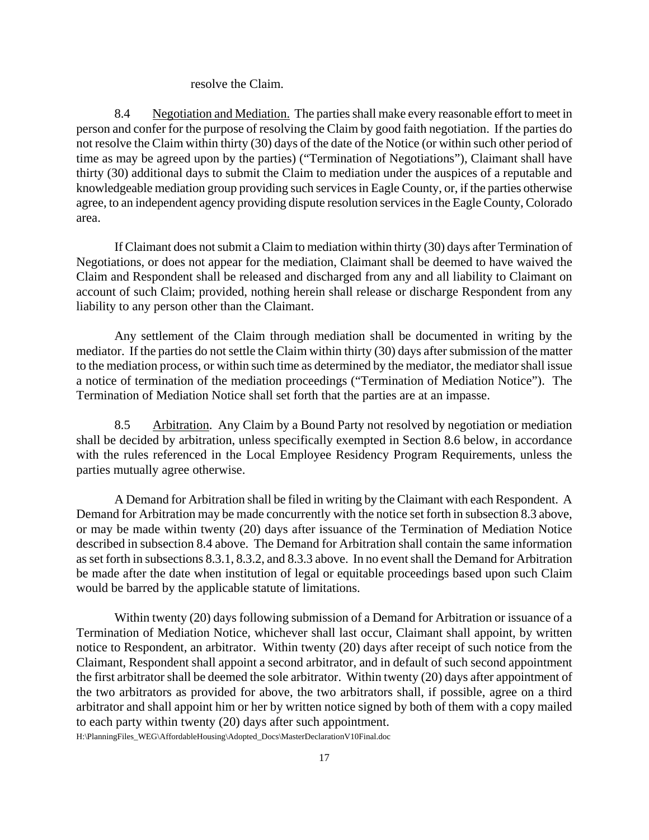#### resolve the Claim.

8.4 Negotiation and Mediation. The parties shall make every reasonable effort to meet in person and confer for the purpose of resolving the Claim by good faith negotiation. If the parties do not resolve the Claim within thirty (30) days of the date of the Notice (or within such other period of time as may be agreed upon by the parties) ("Termination of Negotiations"), Claimant shall have thirty (30) additional days to submit the Claim to mediation under the auspices of a reputable and knowledgeable mediation group providing such services in Eagle County, or, if the parties otherwise agree, to an independent agency providing dispute resolution services in the Eagle County, Colorado area.

If Claimant does not submit a Claim to mediation within thirty (30) days after Termination of Negotiations, or does not appear for the mediation, Claimant shall be deemed to have waived the Claim and Respondent shall be released and discharged from any and all liability to Claimant on account of such Claim; provided, nothing herein shall release or discharge Respondent from any liability to any person other than the Claimant.

Any settlement of the Claim through mediation shall be documented in writing by the mediator. If the parties do not settle the Claim within thirty (30) days after submission of the matter to the mediation process, or within such time as determined by the mediator, the mediator shall issue a notice of termination of the mediation proceedings ("Termination of Mediation Notice"). The Termination of Mediation Notice shall set forth that the parties are at an impasse.

8.5 Arbitration. Any Claim by a Bound Party not resolved by negotiation or mediation shall be decided by arbitration, unless specifically exempted in Section 8.6 below, in accordance with the rules referenced in the Local Employee Residency Program Requirements, unless the parties mutually agree otherwise.

A Demand for Arbitration shall be filed in writing by the Claimant with each Respondent. A Demand for Arbitration may be made concurrently with the notice set forth in subsection 8.3 above, or may be made within twenty (20) days after issuance of the Termination of Mediation Notice described in subsection 8.4 above. The Demand for Arbitration shall contain the same information as set forth in subsections 8.3.1, 8.3.2, and 8.3.3 above. In no event shall the Demand for Arbitration be made after the date when institution of legal or equitable proceedings based upon such Claim would be barred by the applicable statute of limitations.

Within twenty (20) days following submission of a Demand for Arbitration or issuance of a Termination of Mediation Notice, whichever shall last occur, Claimant shall appoint, by written notice to Respondent, an arbitrator. Within twenty (20) days after receipt of such notice from the Claimant, Respondent shall appoint a second arbitrator, and in default of such second appointment the first arbitrator shall be deemed the sole arbitrator. Within twenty (20) days after appointment of the two arbitrators as provided for above, the two arbitrators shall, if possible, agree on a third arbitrator and shall appoint him or her by written notice signed by both of them with a copy mailed to each party within twenty (20) days after such appointment.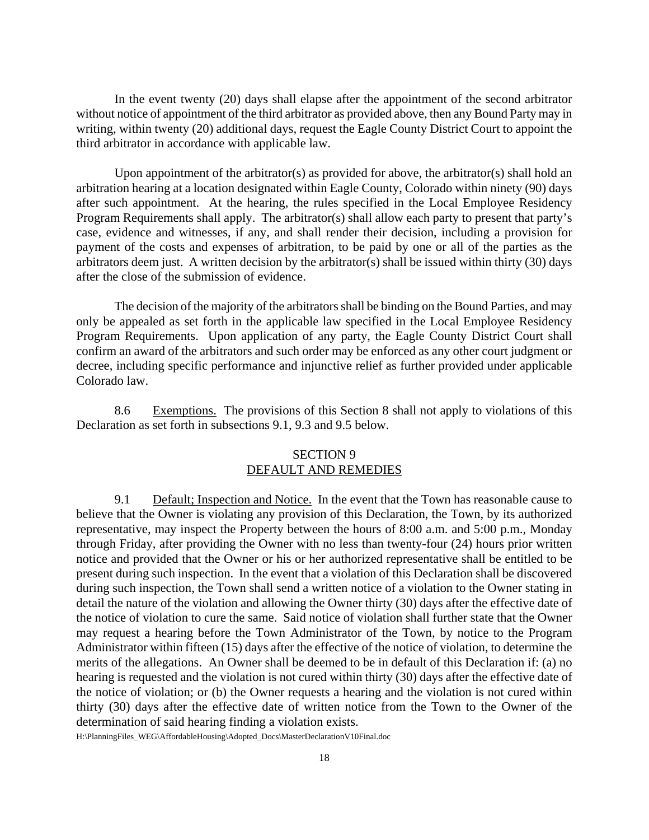In the event twenty (20) days shall elapse after the appointment of the second arbitrator without notice of appointment of the third arbitrator as provided above, then any Bound Party may in writing, within twenty (20) additional days, request the Eagle County District Court to appoint the third arbitrator in accordance with applicable law.

Upon appointment of the arbitrator(s) as provided for above, the arbitrator(s) shall hold an arbitration hearing at a location designated within Eagle County, Colorado within ninety (90) days after such appointment. At the hearing, the rules specified in the Local Employee Residency Program Requirements shall apply. The arbitrator(s) shall allow each party to present that party's case, evidence and witnesses, if any, and shall render their decision, including a provision for payment of the costs and expenses of arbitration, to be paid by one or all of the parties as the arbitrators deem just. A written decision by the arbitrator(s) shall be issued within thirty (30) days after the close of the submission of evidence.

The decision of the majority of the arbitrators shall be binding on the Bound Parties, and may only be appealed as set forth in the applicable law specified in the Local Employee Residency Program Requirements. Upon application of any party, the Eagle County District Court shall confirm an award of the arbitrators and such order may be enforced as any other court judgment or decree, including specific performance and injunctive relief as further provided under applicable Colorado law.

8.6 Exemptions. The provisions of this Section 8 shall not apply to violations of this Declaration as set forth in subsections 9.1, 9.3 and 9.5 below.

#### SECTION 9 DEFAULT AND REMEDIES

9.1 Default; Inspection and Notice. In the event that the Town has reasonable cause to believe that the Owner is violating any provision of this Declaration, the Town, by its authorized representative, may inspect the Property between the hours of 8:00 a.m. and 5:00 p.m., Monday through Friday, after providing the Owner with no less than twenty-four (24) hours prior written notice and provided that the Owner or his or her authorized representative shall be entitled to be present during such inspection. In the event that a violation of this Declaration shall be discovered during such inspection, the Town shall send a written notice of a violation to the Owner stating in detail the nature of the violation and allowing the Owner thirty (30) days after the effective date of the notice of violation to cure the same. Said notice of violation shall further state that the Owner may request a hearing before the Town Administrator of the Town, by notice to the Program Administrator within fifteen (15) days after the effective of the notice of violation, to determine the merits of the allegations. An Owner shall be deemed to be in default of this Declaration if: (a) no hearing is requested and the violation is not cured within thirty (30) days after the effective date of the notice of violation; or (b) the Owner requests a hearing and the violation is not cured within thirty (30) days after the effective date of written notice from the Town to the Owner of the determination of said hearing finding a violation exists.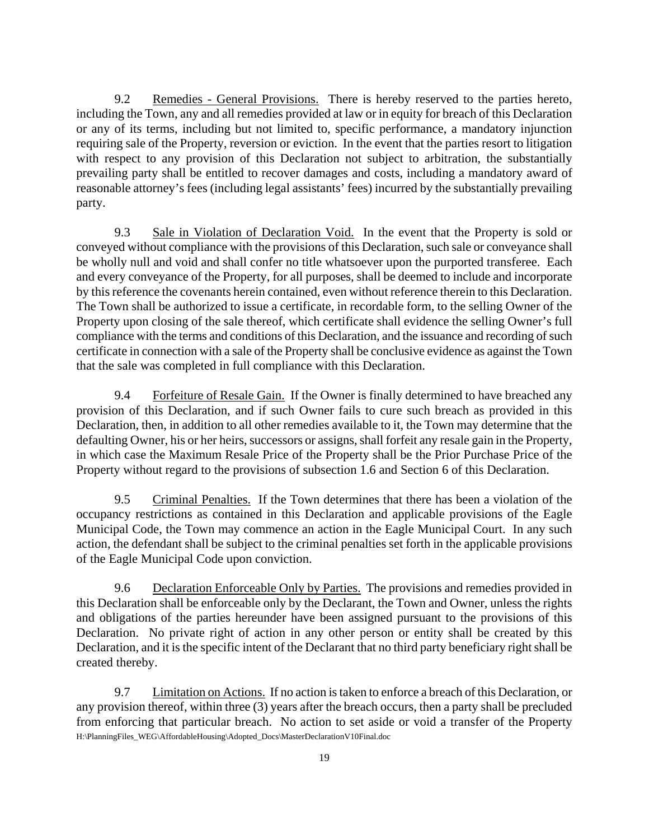9.2 Remedies - General Provisions. There is hereby reserved to the parties hereto, including the Town, any and all remedies provided at law or in equity for breach of this Declaration or any of its terms, including but not limited to, specific performance, a mandatory injunction requiring sale of the Property, reversion or eviction. In the event that the parties resort to litigation with respect to any provision of this Declaration not subject to arbitration, the substantially prevailing party shall be entitled to recover damages and costs, including a mandatory award of reasonable attorney's fees (including legal assistants' fees) incurred by the substantially prevailing party.

9.3 Sale in Violation of Declaration Void. In the event that the Property is sold or conveyed without compliance with the provisions of this Declaration, such sale or conveyance shall be wholly null and void and shall confer no title whatsoever upon the purported transferee. Each and every conveyance of the Property, for all purposes, shall be deemed to include and incorporate by this reference the covenants herein contained, even without reference therein to this Declaration. The Town shall be authorized to issue a certificate, in recordable form, to the selling Owner of the Property upon closing of the sale thereof, which certificate shall evidence the selling Owner's full compliance with the terms and conditions of this Declaration, and the issuance and recording of such certificate in connection with a sale of the Property shall be conclusive evidence as against the Town that the sale was completed in full compliance with this Declaration.

9.4 Forfeiture of Resale Gain. If the Owner is finally determined to have breached any provision of this Declaration, and if such Owner fails to cure such breach as provided in this Declaration, then, in addition to all other remedies available to it, the Town may determine that the defaulting Owner, his or her heirs, successors or assigns, shall forfeit any resale gain in the Property, in which case the Maximum Resale Price of the Property shall be the Prior Purchase Price of the Property without regard to the provisions of subsection 1.6 and Section 6 of this Declaration.

9.5 Criminal Penalties. If the Town determines that there has been a violation of the occupancy restrictions as contained in this Declaration and applicable provisions of the Eagle Municipal Code, the Town may commence an action in the Eagle Municipal Court. In any such action, the defendant shall be subject to the criminal penalties set forth in the applicable provisions of the Eagle Municipal Code upon conviction.

9.6 Declaration Enforceable Only by Parties. The provisions and remedies provided in this Declaration shall be enforceable only by the Declarant, the Town and Owner, unless the rights and obligations of the parties hereunder have been assigned pursuant to the provisions of this Declaration. No private right of action in any other person or entity shall be created by this Declaration, and it is the specific intent of the Declarant that no third party beneficiary right shall be created thereby.

H:\PlanningFiles\_WEG\AffordableHousing\Adopted\_Docs\MasterDeclarationV10Final.doc 9.7 Limitation on Actions. If no action is taken to enforce a breach of this Declaration, or any provision thereof, within three (3) years after the breach occurs, then a party shall be precluded from enforcing that particular breach. No action to set aside or void a transfer of the Property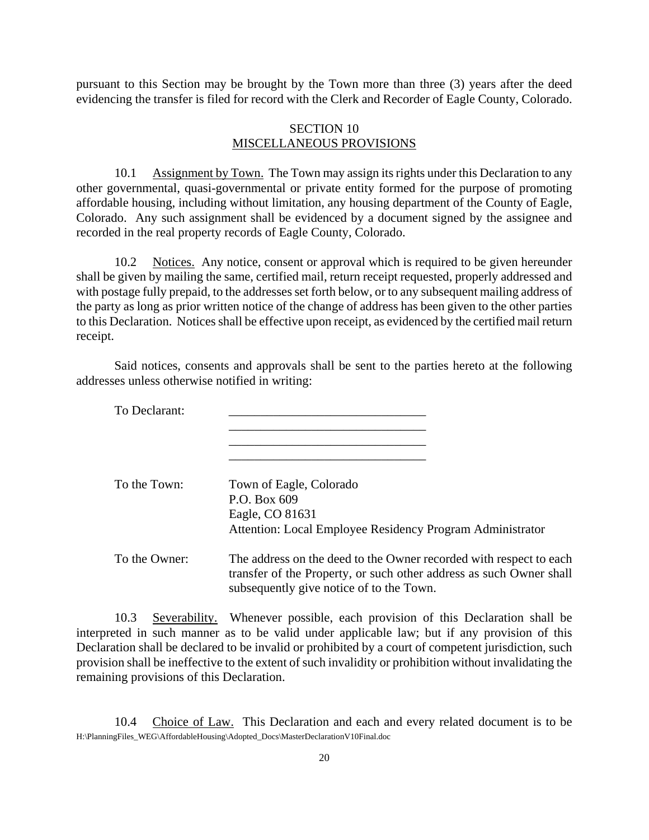pursuant to this Section may be brought by the Town more than three (3) years after the deed evidencing the transfer is filed for record with the Clerk and Recorder of Eagle County, Colorado.

#### SECTION 10 MISCELLANEOUS PROVISIONS

10.1 Assignment by Town. The Town may assign its rights under this Declaration to any other governmental, quasi-governmental or private entity formed for the purpose of promoting affordable housing, including without limitation, any housing department of the County of Eagle, Colorado. Any such assignment shall be evidenced by a document signed by the assignee and recorded in the real property records of Eagle County, Colorado.

10.2 Notices. Any notice, consent or approval which is required to be given hereunder shall be given by mailing the same, certified mail, return receipt requested, properly addressed and with postage fully prepaid, to the addresses set forth below, or to any subsequent mailing address of the party as long as prior written notice of the change of address has been given to the other parties to this Declaration. Notices shall be effective upon receipt, as evidenced by the certified mail return receipt.

Said notices, consents and approvals shall be sent to the parties hereto at the following addresses unless otherwise notified in writing:

| To Declarant: |                                                                                                                                                                                       |
|---------------|---------------------------------------------------------------------------------------------------------------------------------------------------------------------------------------|
| To the Town:  | Town of Eagle, Colorado<br>P.O. Box 609<br>Eagle, CO 81631<br>Attention: Local Employee Residency Program Administrator                                                               |
| To the Owner: | The address on the deed to the Owner recorded with respect to each<br>transfer of the Property, or such other address as such Owner shall<br>subsequently give notice of to the Town. |

10.3 Severability. Whenever possible, each provision of this Declaration shall be interpreted in such manner as to be valid under applicable law; but if any provision of this Declaration shall be declared to be invalid or prohibited by a court of competent jurisdiction, such provision shall be ineffective to the extent of such invalidity or prohibition without invalidating the remaining provisions of this Declaration.

H:\PlanningFiles\_WEG\AffordableHousing\Adopted\_Docs\MasterDeclarationV10Final.doc 10.4 Choice of Law. This Declaration and each and every related document is to be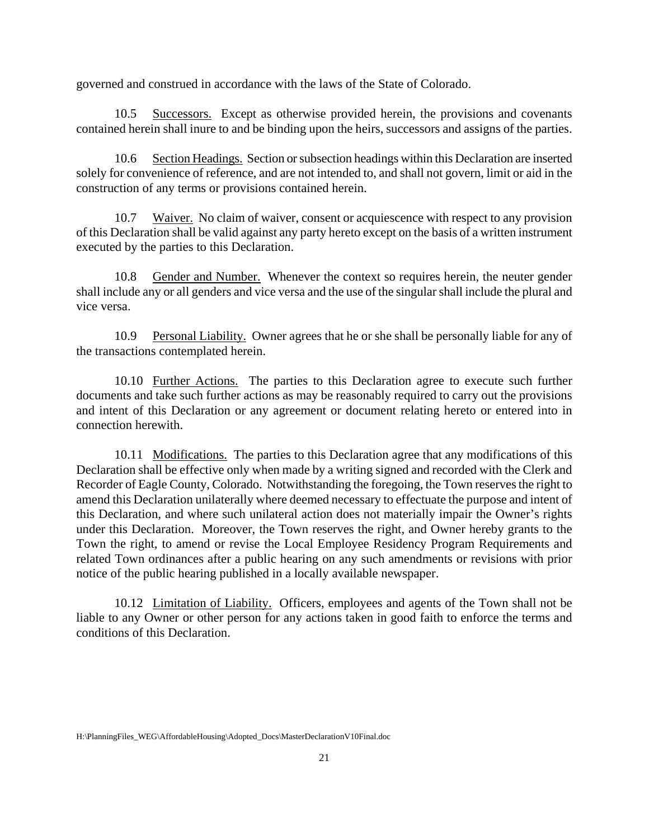governed and construed in accordance with the laws of the State of Colorado.

10.5 Successors. Except as otherwise provided herein, the provisions and covenants contained herein shall inure to and be binding upon the heirs, successors and assigns of the parties.

10.6 Section Headings. Section or subsection headings within this Declaration are inserted solely for convenience of reference, and are not intended to, and shall not govern, limit or aid in the construction of any terms or provisions contained herein.

10.7 Waiver. No claim of waiver, consent or acquiescence with respect to any provision of this Declaration shall be valid against any party hereto except on the basis of a written instrument executed by the parties to this Declaration.

10.8 Gender and Number. Whenever the context so requires herein, the neuter gender shall include any or all genders and vice versa and the use of the singular shall include the plural and vice versa.

10.9 Personal Liability. Owner agrees that he or she shall be personally liable for any of the transactions contemplated herein.

10.10 Further Actions. The parties to this Declaration agree to execute such further documents and take such further actions as may be reasonably required to carry out the provisions and intent of this Declaration or any agreement or document relating hereto or entered into in connection herewith.

10.11 Modifications. The parties to this Declaration agree that any modifications of this Declaration shall be effective only when made by a writing signed and recorded with the Clerk and Recorder of Eagle County, Colorado. Notwithstanding the foregoing, the Town reserves the right to amend this Declaration unilaterally where deemed necessary to effectuate the purpose and intent of this Declaration, and where such unilateral action does not materially impair the Owner's rights under this Declaration. Moreover, the Town reserves the right, and Owner hereby grants to the Town the right, to amend or revise the Local Employee Residency Program Requirements and related Town ordinances after a public hearing on any such amendments or revisions with prior notice of the public hearing published in a locally available newspaper.

10.12 Limitation of Liability. Officers, employees and agents of the Town shall not be liable to any Owner or other person for any actions taken in good faith to enforce the terms and conditions of this Declaration.

H:\PlanningFiles\_WEG\AffordableHousing\Adopted\_Docs\MasterDeclarationV10Final.doc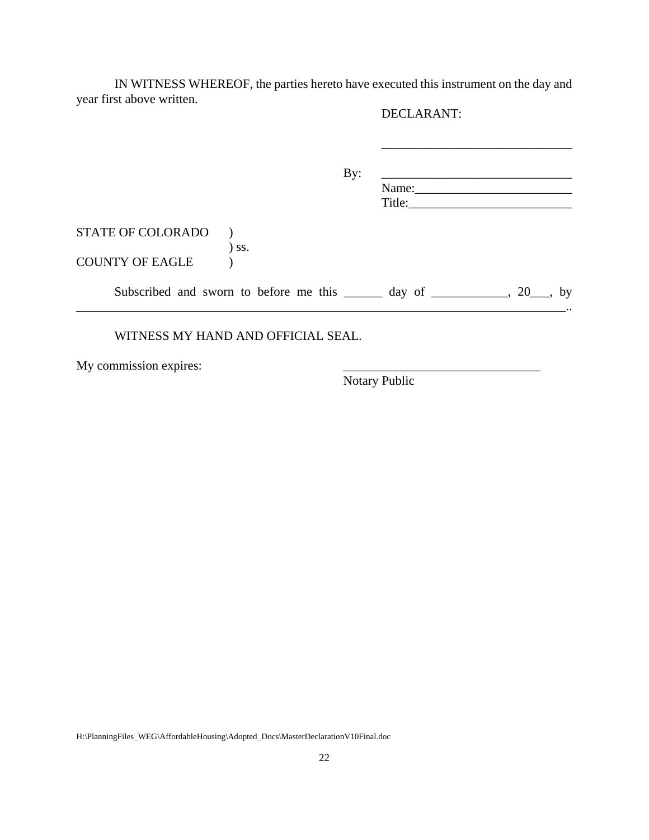IN WITNESS WHEREOF, the parties hereto have executed this instrument on the day and year first above written.

# DECLARANT:

\_\_\_\_\_\_\_\_\_\_\_\_\_\_\_\_\_\_\_\_\_\_\_\_\_\_\_\_\_\_

|                          |                                                                              | By: | Name:  |  |
|--------------------------|------------------------------------------------------------------------------|-----|--------|--|
|                          |                                                                              |     | Title: |  |
| <b>STATE OF COLORADO</b> | $)$ ss.                                                                      |     |        |  |
| <b>COUNTY OF EAGLE</b>   |                                                                              |     |        |  |
|                          | Subscribed and sworn to before me this $\_\_\_\_$ day of $\_\_\_\_$ , 20, by |     |        |  |

#### WITNESS MY HAND AND OFFICIAL SEAL.

My commission expires:

Notary Public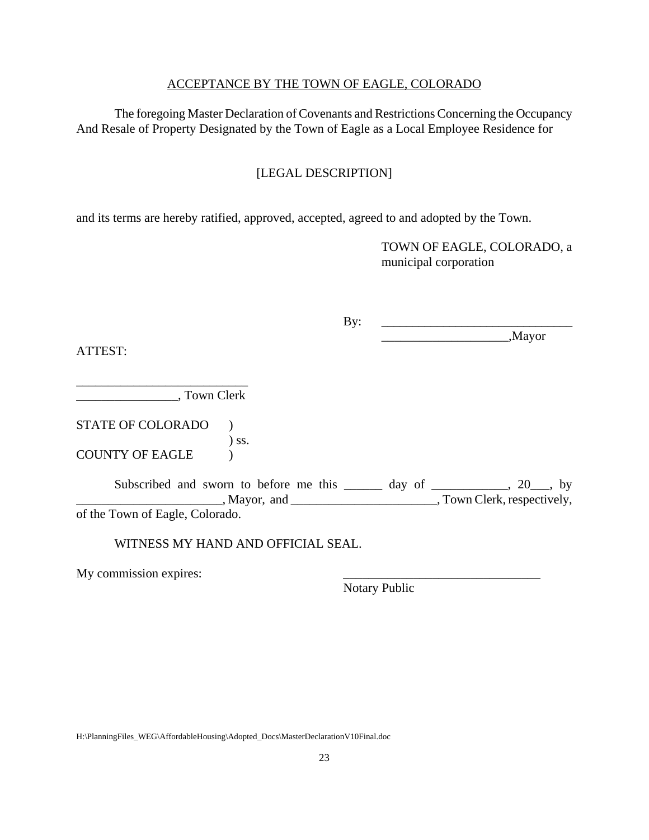#### ACCEPTANCE BY THE TOWN OF EAGLE, COLORADO

The foregoing Master Declaration of Covenants and Restrictions Concerning the Occupancy And Resale of Property Designated by the Town of Eagle as a Local Employee Residence for

# [LEGAL DESCRIPTION]

and its terms are hereby ratified, approved, accepted, agreed to and adopted by the Town.

TOWN OF EAGLE, COLORADO, a municipal corporation

 $\mathbf{B} \mathbf{v}$ : \_\_\_\_\_\_\_\_\_\_\_\_\_\_\_\_\_\_\_\_,Mayor

ATTEST:

\_\_\_\_\_\_\_\_\_\_\_\_\_\_\_\_\_\_\_\_\_\_\_\_\_\_\_ \_\_\_\_\_\_\_\_\_\_\_\_\_\_\_\_, Town Clerk

STATE OF COLORADO ) ) ss. COUNTY OF EAGLE )

Subscribed and sworn to before me this \_\_\_\_\_\_ day of \_\_\_\_\_\_\_\_\_, 20\_\_, by Mayor, and \_\_\_\_\_\_\_\_\_\_\_\_\_\_\_\_\_\_\_\_\_\_\_\_\_\_, Town Clerk, respectively, of the Town of Eagle, Colorado.

WITNESS MY HAND AND OFFICIAL SEAL.

My commission expires:

Notary Public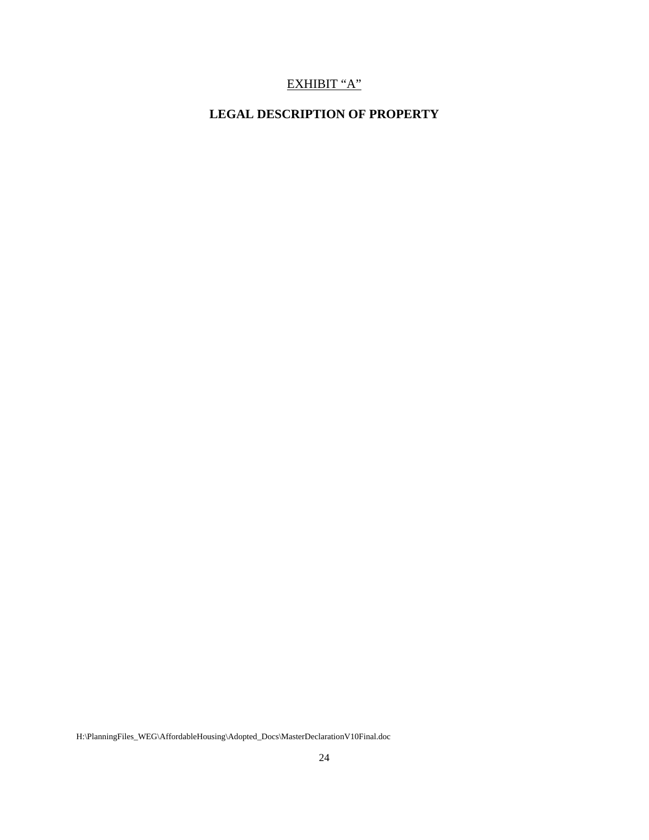# EXHIBIT "A"

# **LEGAL DESCRIPTION OF PROPERTY**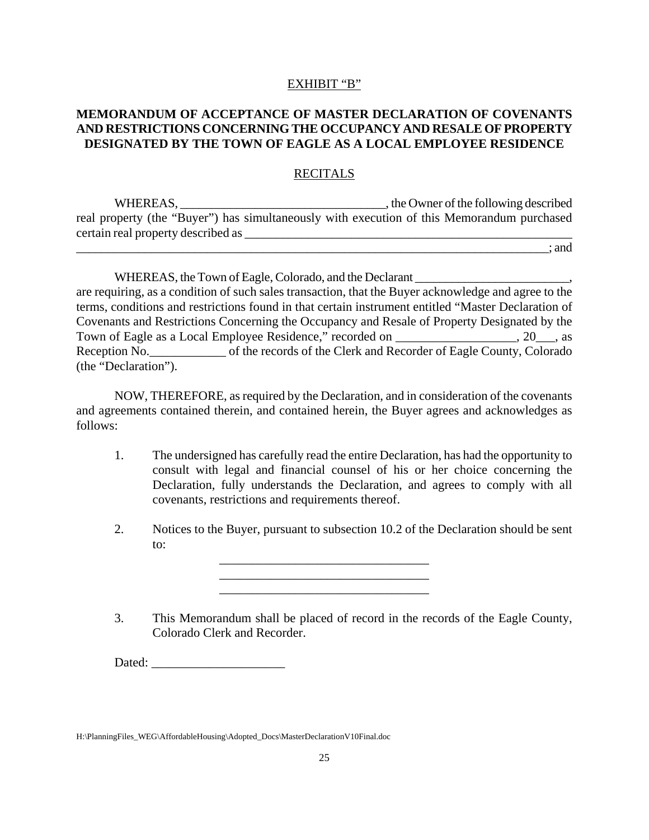#### EXHIBIT "B"

## **MEMORANDUM OF ACCEPTANCE OF MASTER DECLARATION OF COVENANTS AND RESTRICTIONS CONCERNING THE OCCUPANCY AND RESALE OF PROPERTY DESIGNATED BY THE TOWN OF EAGLE AS A LOCAL EMPLOYEE RESIDENCE**

#### RECITALS

WHEREAS, \_\_\_\_\_\_\_\_\_\_\_\_\_\_\_\_\_\_\_\_\_\_\_\_\_\_\_\_\_\_\_\_\_, the Owner of the following described real property (the "Buyer") has simultaneously with execution of this Memorandum purchased certain real property described as \_\_\_\_\_\_\_\_\_\_\_\_\_\_\_\_\_\_\_\_\_\_\_\_\_\_\_\_\_\_\_\_\_\_\_\_\_\_\_\_\_\_\_\_\_\_\_\_\_\_\_\_

\_\_\_\_\_\_\_\_\_\_\_\_\_\_\_\_\_\_\_\_\_\_\_\_\_\_\_\_\_\_\_\_\_\_\_\_\_\_\_\_\_\_\_\_\_\_\_\_\_\_\_\_\_\_\_\_\_\_\_\_\_\_\_\_\_\_\_\_\_\_\_\_\_\_\_\_; and

WHEREAS, the Town of Eagle, Colorado, and the Declarant  $\blacksquare$ are requiring, as a condition of such sales transaction, that the Buyer acknowledge and agree to the terms, conditions and restrictions found in that certain instrument entitled "Master Declaration of Covenants and Restrictions Concerning the Occupancy and Resale of Property Designated by the Town of Eagle as a Local Employee Residence," recorded on \_\_\_\_\_\_\_\_\_\_\_\_\_\_\_\_\_\_\_, 20\_\_\_, as Reception No. \_\_\_\_\_\_\_\_\_\_\_\_\_\_\_ of the records of the Clerk and Recorder of Eagle County, Colorado (the "Declaration").

NOW, THEREFORE, as required by the Declaration, and in consideration of the covenants and agreements contained therein, and contained herein, the Buyer agrees and acknowledges as follows:

- 1. The undersigned has carefully read the entire Declaration, has had the opportunity to consult with legal and financial counsel of his or her choice concerning the Declaration, fully understands the Declaration, and agrees to comply with all covenants, restrictions and requirements thereof.
- 2. Notices to the Buyer, pursuant to subsection 10.2 of the Declaration should be sent to:

\_\_\_\_\_\_\_\_\_\_\_\_\_\_\_\_\_\_\_\_\_\_\_\_\_\_\_\_\_\_\_\_\_ \_\_\_\_\_\_\_\_\_\_\_\_\_\_\_\_\_\_\_\_\_\_\_\_\_\_\_\_\_\_\_\_\_ \_\_\_\_\_\_\_\_\_\_\_\_\_\_\_\_\_\_\_\_\_\_\_\_\_\_\_\_\_\_\_\_\_

3. This Memorandum shall be placed of record in the records of the Eagle County, Colorado Clerk and Recorder.

Dated:

H:\PlanningFiles\_WEG\AffordableHousing\Adopted\_Docs\MasterDeclarationV10Final.doc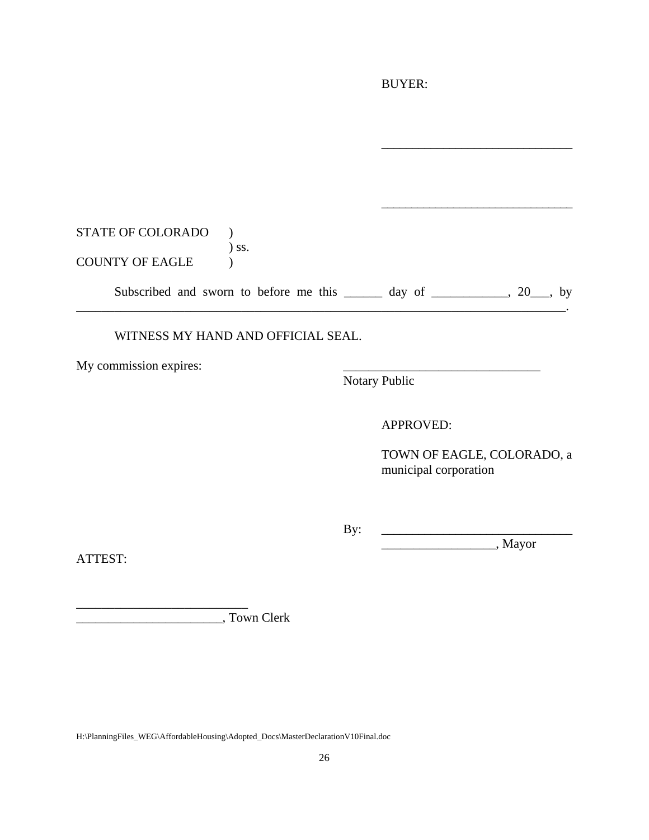# BUYER:

| STATE OF COLORADO      |                                                                              |  |
|------------------------|------------------------------------------------------------------------------|--|
|                        | ) ss.                                                                        |  |
| <b>COUNTY OF EAGLE</b> |                                                                              |  |
|                        | Subscribed and sworn to before me this $\_\_\_\_$ day of $\_\_\_\_$ , 20, by |  |
|                        |                                                                              |  |

## WITNESS MY HAND AND OFFICIAL SEAL.

My commission expires:

Notary Public

APPROVED:

TOWN OF EAGLE, COLORADO, a municipal corporation

\_\_\_\_\_\_\_\_\_\_\_\_\_\_\_\_\_\_\_\_\_\_\_\_\_\_\_\_\_\_\_

By: \_\_\_\_\_\_\_\_\_\_\_\_\_\_\_\_\_\_\_\_\_\_\_\_\_\_\_\_\_\_\_

\_\_\_\_\_\_\_\_\_\_\_\_\_\_\_\_\_\_, Mayor

ATTEST:

\_\_\_\_\_\_\_\_\_\_\_\_\_\_\_\_\_\_\_\_\_\_\_, Town Clerk

\_\_\_\_\_\_\_\_\_\_\_\_\_\_\_\_\_\_\_\_\_\_\_\_\_\_\_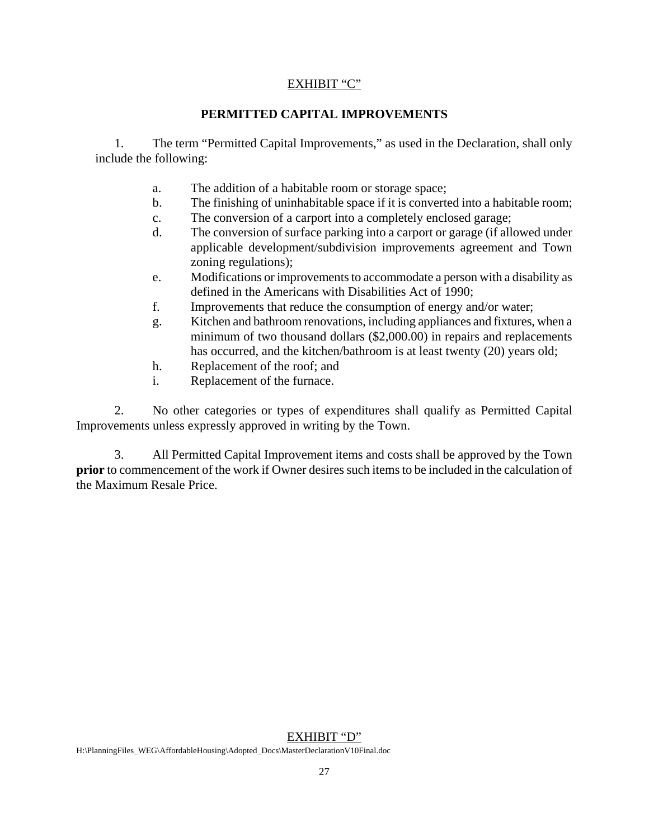# EXHIBIT "C"

# **PERMITTED CAPITAL IMPROVEMENTS**

1. The term "Permitted Capital Improvements," as used in the Declaration, shall only include the following:

- a. The addition of a habitable room or storage space;
- b. The finishing of uninhabitable space if it is converted into a habitable room;
- c. The conversion of a carport into a completely enclosed garage;
- d. The conversion of surface parking into a carport or garage (if allowed under applicable development/subdivision improvements agreement and Town zoning regulations);
- e. Modifications or improvements to accommodate a person with a disability as defined in the Americans with Disabilities Act of 1990;
- f. Improvements that reduce the consumption of energy and/or water;
- g. Kitchen and bathroom renovations, including appliances and fixtures, when a minimum of two thousand dollars (\$2,000.00) in repairs and replacements has occurred, and the kitchen/bathroom is at least twenty (20) years old;
- h. Replacement of the roof; and
- i. Replacement of the furnace.

2. No other categories or types of expenditures shall qualify as Permitted Capital Improvements unless expressly approved in writing by the Town.

3. All Permitted Capital Improvement items and costs shall be approved by the Town **prior** to commencement of the work if Owner desires such items to be included in the calculation of the Maximum Resale Price.

#### EXHIBIT "D"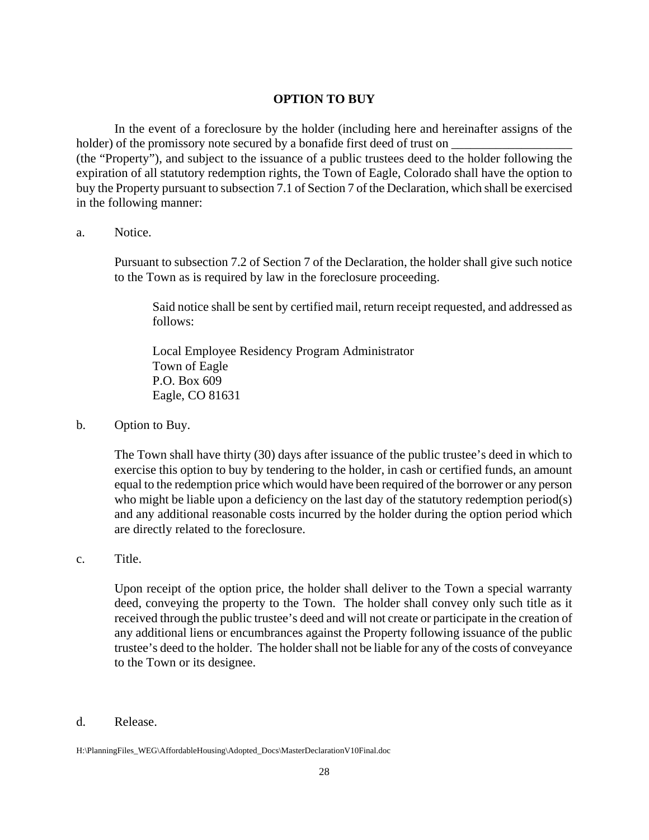#### **OPTION TO BUY**

In the event of a foreclosure by the holder (including here and hereinafter assigns of the holder) of the promissory note secured by a bonafide first deed of trust on (the "Property"), and subject to the issuance of a public trustees deed to the holder following the expiration of all statutory redemption rights, the Town of Eagle, Colorado shall have the option to buy the Property pursuant to subsection 7.1 of Section 7 of the Declaration, which shall be exercised in the following manner:

#### a. Notice.

Pursuant to subsection 7.2 of Section 7 of the Declaration, the holder shall give such notice to the Town as is required by law in the foreclosure proceeding.

Said notice shall be sent by certified mail, return receipt requested, and addressed as follows:

Local Employee Residency Program Administrator Town of Eagle P.O. Box 609 Eagle, CO 81631

b. Option to Buy.

The Town shall have thirty (30) days after issuance of the public trustee's deed in which to exercise this option to buy by tendering to the holder, in cash or certified funds, an amount equal to the redemption price which would have been required of the borrower or any person who might be liable upon a deficiency on the last day of the statutory redemption period(s) and any additional reasonable costs incurred by the holder during the option period which are directly related to the foreclosure.

c. Title.

Upon receipt of the option price, the holder shall deliver to the Town a special warranty deed, conveying the property to the Town. The holder shall convey only such title as it received through the public trustee's deed and will not create or participate in the creation of any additional liens or encumbrances against the Property following issuance of the public trustee's deed to the holder. The holder shall not be liable for any of the costs of conveyance to the Town or its designee.

d. Release.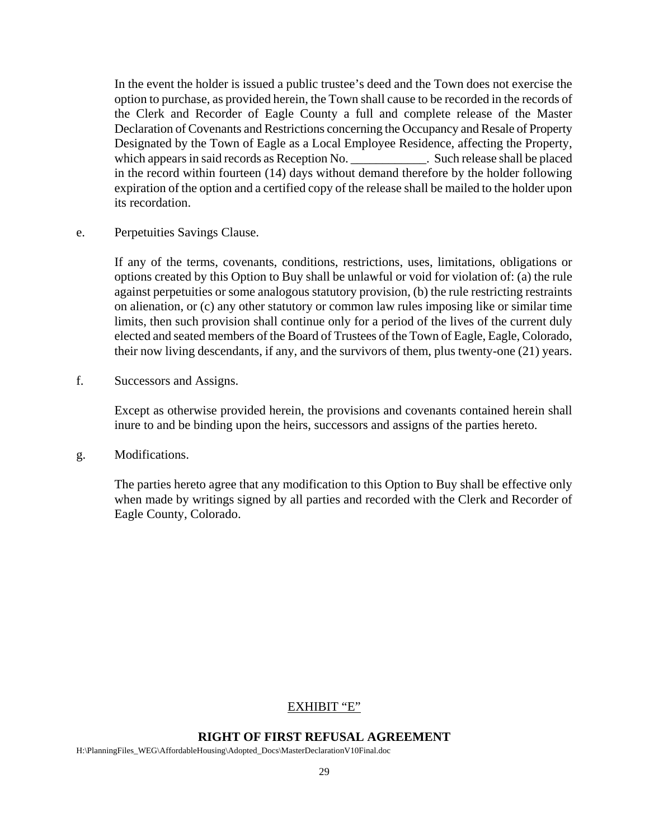In the event the holder is issued a public trustee's deed and the Town does not exercise the option to purchase, as provided herein, the Town shall cause to be recorded in the records of the Clerk and Recorder of Eagle County a full and complete release of the Master Declaration of Covenants and Restrictions concerning the Occupancy and Resale of Property Designated by the Town of Eagle as a Local Employee Residence, affecting the Property, which appears in said records as Reception No.  $\Box$  Such release shall be placed in the record within fourteen (14) days without demand therefore by the holder following expiration of the option and a certified copy of the release shall be mailed to the holder upon its recordation.

e. Perpetuities Savings Clause.

If any of the terms, covenants, conditions, restrictions, uses, limitations, obligations or options created by this Option to Buy shall be unlawful or void for violation of: (a) the rule against perpetuities or some analogous statutory provision, (b) the rule restricting restraints on alienation, or (c) any other statutory or common law rules imposing like or similar time limits, then such provision shall continue only for a period of the lives of the current duly elected and seated members of the Board of Trustees of the Town of Eagle, Eagle, Colorado, their now living descendants, if any, and the survivors of them, plus twenty-one (21) years.

f. Successors and Assigns.

Except as otherwise provided herein, the provisions and covenants contained herein shall inure to and be binding upon the heirs, successors and assigns of the parties hereto.

g. Modifications.

The parties hereto agree that any modification to this Option to Buy shall be effective only when made by writings signed by all parties and recorded with the Clerk and Recorder of Eagle County, Colorado.

#### EXHIBIT "E"

#### **RIGHT OF FIRST REFUSAL AGREEMENT**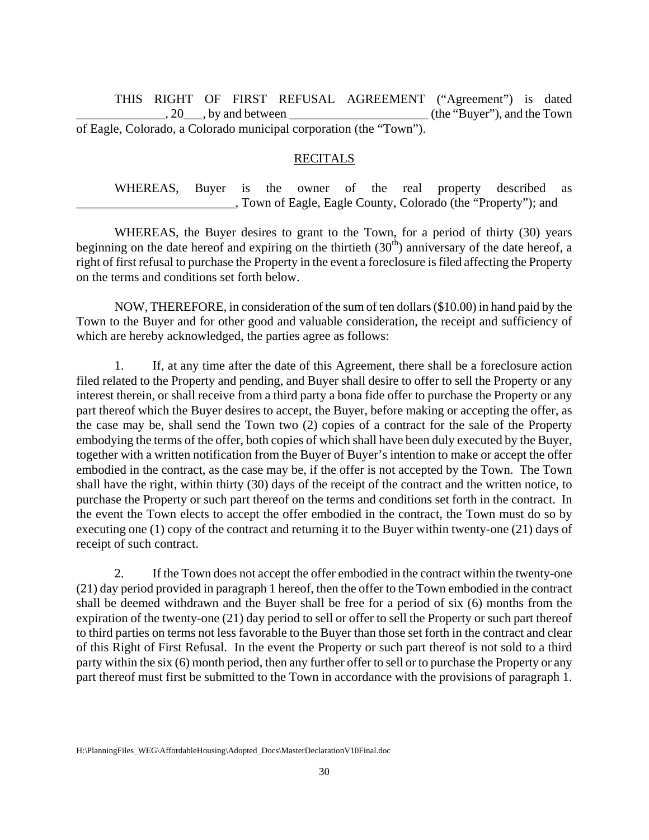THIS RIGHT OF FIRST REFUSAL AGREEMENT ("Agreement") is dated . 20 by and between the same state of the "Buyer"), and the Town of Eagle, Colorado, a Colorado municipal corporation (the "Town").

#### **RECITALS**

WHEREAS, Buyer is the owner of the real property described as \_\_\_\_\_\_\_\_\_\_\_\_\_\_\_\_\_\_\_\_\_\_\_\_\_, Town of Eagle, Eagle County, Colorado (the "Property"); and

WHEREAS, the Buyer desires to grant to the Town, for a period of thirty (30) years beginning on the date hereof and expiring on the thirtieth  $(30<sup>th</sup>)$  anniversary of the date hereof, a right of first refusal to purchase the Property in the event a foreclosure is filed affecting the Property on the terms and conditions set forth below.

NOW, THEREFORE, in consideration of the sum of ten dollars (\$10.00) in hand paid by the Town to the Buyer and for other good and valuable consideration, the receipt and sufficiency of which are hereby acknowledged, the parties agree as follows:

1. If, at any time after the date of this Agreement, there shall be a foreclosure action filed related to the Property and pending, and Buyer shall desire to offer to sell the Property or any interest therein, or shall receive from a third party a bona fide offer to purchase the Property or any part thereof which the Buyer desires to accept, the Buyer, before making or accepting the offer, as the case may be, shall send the Town two (2) copies of a contract for the sale of the Property embodying the terms of the offer, both copies of which shall have been duly executed by the Buyer, together with a written notification from the Buyer of Buyer's intention to make or accept the offer embodied in the contract, as the case may be, if the offer is not accepted by the Town. The Town shall have the right, within thirty (30) days of the receipt of the contract and the written notice, to purchase the Property or such part thereof on the terms and conditions set forth in the contract. In the event the Town elects to accept the offer embodied in the contract, the Town must do so by executing one (1) copy of the contract and returning it to the Buyer within twenty-one (21) days of receipt of such contract.

2. If the Town does not accept the offer embodied in the contract within the twenty-one (21) day period provided in paragraph 1 hereof, then the offer to the Town embodied in the contract shall be deemed withdrawn and the Buyer shall be free for a period of six (6) months from the expiration of the twenty-one (21) day period to sell or offer to sell the Property or such part thereof to third parties on terms not less favorable to the Buyer than those set forth in the contract and clear of this Right of First Refusal. In the event the Property or such part thereof is not sold to a third party within the six (6) month period, then any further offer to sell or to purchase the Property or any part thereof must first be submitted to the Town in accordance with the provisions of paragraph 1.

H:\PlanningFiles\_WEG\AffordableHousing\Adopted\_Docs\MasterDeclarationV10Final.doc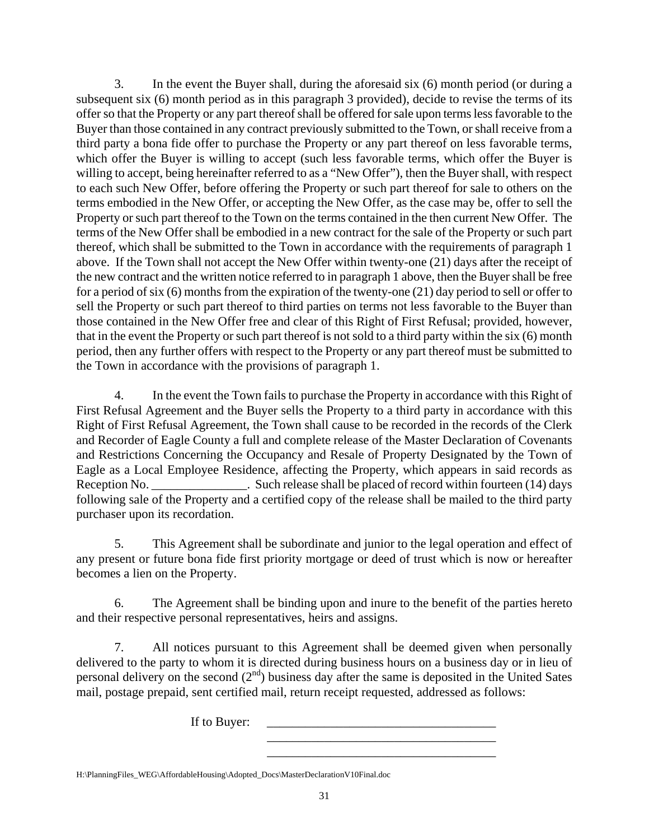3. In the event the Buyer shall, during the aforesaid six (6) month period (or during a subsequent six (6) month period as in this paragraph 3 provided), decide to revise the terms of its offer so that the Property or any part thereof shall be offered for sale upon terms less favorable to the Buyer than those contained in any contract previously submitted to the Town, or shall receive from a third party a bona fide offer to purchase the Property or any part thereof on less favorable terms, which offer the Buyer is willing to accept (such less favorable terms, which offer the Buyer is willing to accept, being hereinafter referred to as a "New Offer"), then the Buyer shall, with respect to each such New Offer, before offering the Property or such part thereof for sale to others on the terms embodied in the New Offer, or accepting the New Offer, as the case may be, offer to sell the Property or such part thereof to the Town on the terms contained in the then current New Offer. The terms of the New Offer shall be embodied in a new contract for the sale of the Property or such part thereof, which shall be submitted to the Town in accordance with the requirements of paragraph 1 above. If the Town shall not accept the New Offer within twenty-one (21) days after the receipt of the new contract and the written notice referred to in paragraph 1 above, then the Buyer shall be free for a period of six (6) months from the expiration of the twenty-one (21) day period to sell or offer to sell the Property or such part thereof to third parties on terms not less favorable to the Buyer than those contained in the New Offer free and clear of this Right of First Refusal; provided, however, that in the event the Property or such part thereof is not sold to a third party within the six (6) month period, then any further offers with respect to the Property or any part thereof must be submitted to the Town in accordance with the provisions of paragraph 1.

4. In the event the Town fails to purchase the Property in accordance with this Right of First Refusal Agreement and the Buyer sells the Property to a third party in accordance with this Right of First Refusal Agreement, the Town shall cause to be recorded in the records of the Clerk and Recorder of Eagle County a full and complete release of the Master Declaration of Covenants and Restrictions Concerning the Occupancy and Resale of Property Designated by the Town of Eagle as a Local Employee Residence, affecting the Property, which appears in said records as Reception No. \_\_\_\_\_\_\_\_\_\_\_\_\_\_\_\_\_\_\_. Such release shall be placed of record within fourteen (14) days following sale of the Property and a certified copy of the release shall be mailed to the third party purchaser upon its recordation.

5. This Agreement shall be subordinate and junior to the legal operation and effect of any present or future bona fide first priority mortgage or deed of trust which is now or hereafter becomes a lien on the Property.

6. The Agreement shall be binding upon and inure to the benefit of the parties hereto and their respective personal representatives, heirs and assigns.

7. All notices pursuant to this Agreement shall be deemed given when personally delivered to the party to whom it is directed during business hours on a business day or in lieu of personal delivery on the second  $(2<sup>nd</sup>)$  business day after the same is deposited in the United Sates mail, postage prepaid, sent certified mail, return receipt requested, addressed as follows:

> \_\_\_\_\_\_\_\_\_\_\_\_\_\_\_\_\_\_\_\_\_\_\_\_\_\_\_\_\_\_\_\_\_\_\_\_ \_\_\_\_\_\_\_\_\_\_\_\_\_\_\_\_\_\_\_\_\_\_\_\_\_\_\_\_\_\_\_\_\_\_\_\_

If to Buyer:

H:\PlanningFiles\_WEG\AffordableHousing\Adopted\_Docs\MasterDeclarationV10Final.doc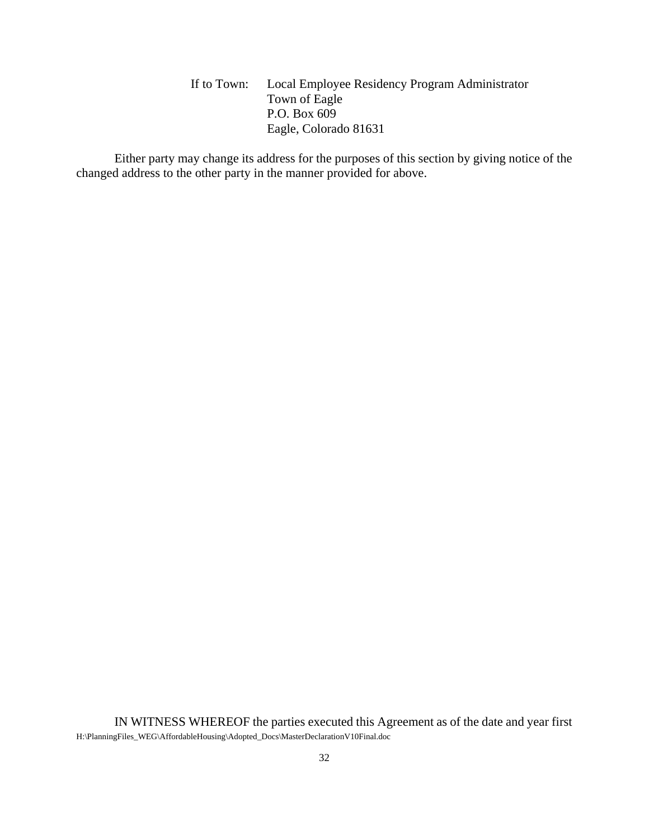If to Town: Local Employee Residency Program Administrator Town of Eagle P.O. Box 609 Eagle, Colorado 81631

Either party may change its address for the purposes of this section by giving notice of the changed address to the other party in the manner provided for above.

H:\PlanningFiles\_WEG\AffordableHousing\Adopted\_Docs\MasterDeclarationV10Final.doc IN WITNESS WHEREOF the parties executed this Agreement as of the date and year first